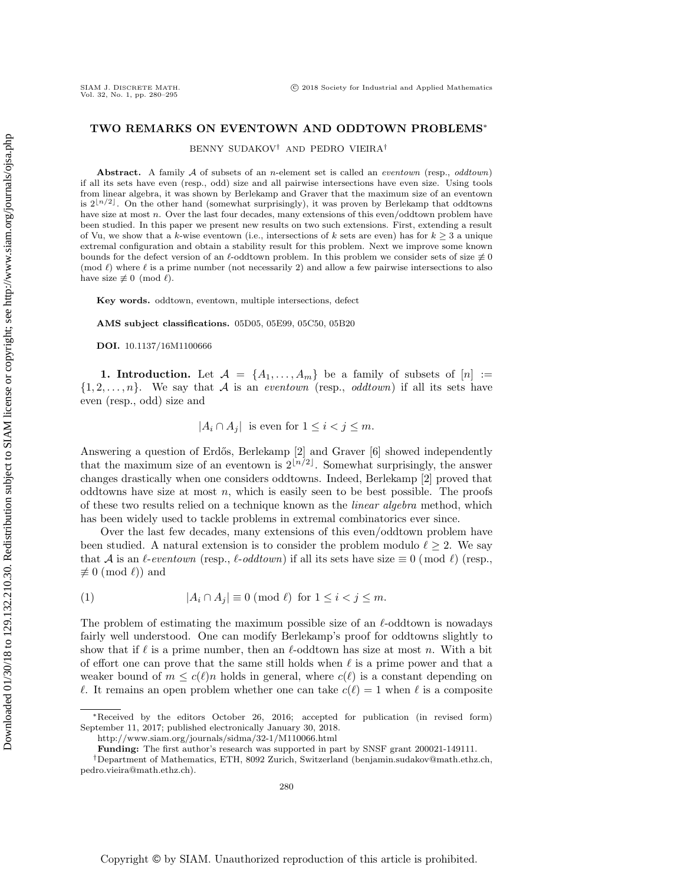## TWO REMARKS ON EVENTOWN AND ODDTOWN PROBLEMS<sup>∗</sup>

BENNY SUDAKOV† AND PEDRO VIEIRA†

Abstract. A family  $A$  of subsets of an *n*-element set is called an *eventown* (resp., *oddtown*) if all its sets have even (resp., odd) size and all pairwise intersections have even size. Using tools from linear algebra, it was shown by Berlekamp and Graver that the maximum size of an eventown is  $2\lfloor n/2 \rfloor$ . On the other hand (somewhat surprisingly), it was proven by Berlekamp that oddtowns have size at most n. Over the last four decades, many extensions of this even/oddtown problem have been studied. In this paper we present new results on two such extensions. First, extending a result of Vu, we show that a k-wise eventown (i.e., intersections of k sets are even) has for  $k > 3$  a unique extremal configuration and obtain a stability result for this problem. Next we improve some known bounds for the defect version of an  $\ell$ -oddtown problem. In this problem we consider sets of size  $\neq 0$ (mod  $\ell$ ) where  $\ell$  is a prime number (not necessarily 2) and allow a few pairwise intersections to also have size  $\not\equiv 0 \pmod{\ell}$ .

Key words. oddtown, eventown, multiple intersections, defect

AMS subject classifications. 05D05, 05E99, 05C50, 05B20

DOI. 10.1137/16M1100666

**1. Introduction.** Let  $A = \{A_1, \ldots, A_m\}$  be a family of subsets of  $[n] :=$  $\{1, 2, \ldots, n\}$ . We say that A is an eventown (resp., oddtown) if all its sets have even (resp., odd) size and

 $|A_i \cap A_j|$  is even for  $1 \leq i < j \leq m$ .

Answering a question of Erdős, Berlekamp [\[2\]](#page-15-0) and Graver [\[6\]](#page-15-1) showed independently that the maximum size of an eventown is  $2^{\lfloor n/2 \rfloor}$ . Somewhat surprisingly, the answer changes drastically when one considers oddtowns. Indeed, Berlekamp [\[2\]](#page-15-0) proved that oddtowns have size at most  $n$ , which is easily seen to be best possible. The proofs of these two results relied on a technique known as the linear algebra method, which has been widely used to tackle problems in extremal combinatorics ever since.

Over the last few decades, many extensions of this even/oddtown problem have been studied. A natural extension is to consider the problem modulo  $\ell \geq 2$ . We say that A is an  $\ell$ -eventown (resp.,  $\ell$ -oddtown) if all its sets have size  $\equiv 0 \pmod{\ell}$  (resp.,  $\not\equiv 0 \pmod{\ell}$ ) and

<span id="page-0-0"></span>
$$
(1) \t |A_i \cap A_j| \equiv 0 \pmod{\ell} \text{ for } 1 \le i < j \le m.
$$

The problem of estimating the maximum possible size of an  $\ell$ -oddtown is nowadays fairly well understood. One can modify Berlekamp's proof for oddtowns slightly to show that if  $\ell$  is a prime number, then an  $\ell$ -oddtown has size at most n. With a bit of effort one can prove that the same still holds when  $\ell$  is a prime power and that a weaker bound of  $m \leq c(\ell)n$  holds in general, where  $c(\ell)$  is a constant depending on  $\ell$ . It remains an open problem whether one can take  $c(\ell) = 1$  when  $\ell$  is a composite

<sup>∗</sup>Received by the editors October 26, 2016; accepted for publication (in revised form) September 11, 2017; published electronically January 30, 2018.

<http://www.siam.org/journals/sidma/32-1/M110066.html>

Funding: The first author's research was supported in part by SNSF grant 200021-149111.

<sup>†</sup>Department of Mathematics, ETH, 8092 Zurich, Switzerland [\(benjamin.sudakov@math.ethz.ch,](mailto:benjamin.sudakov@math.ethz.ch) [pedro.vieira@math.ethz.ch\)](mailto:pedro.vieira@math.ethz.ch).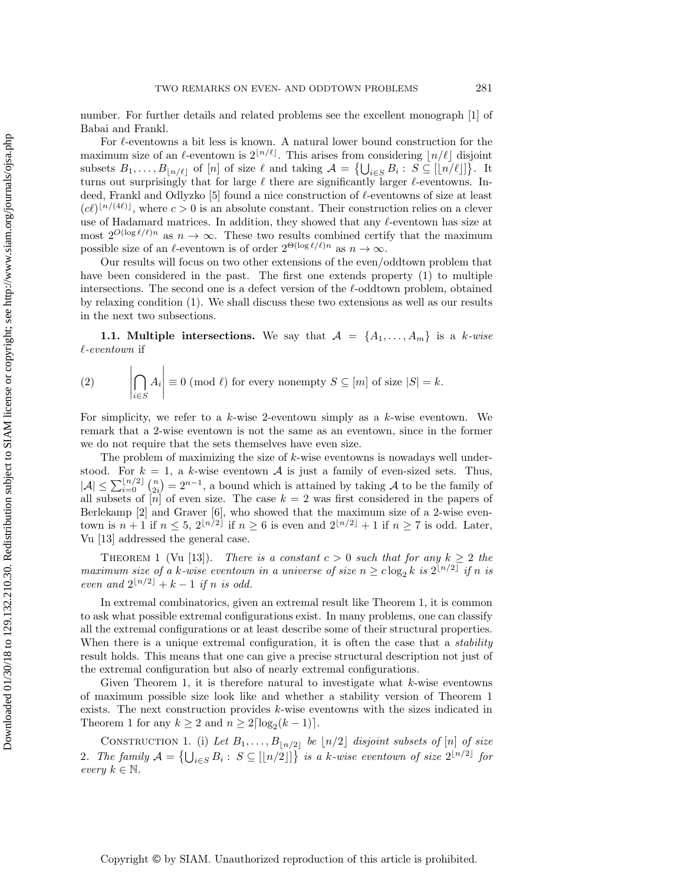number. For further details and related problems see the excellent monograph [\[1\]](#page-15-2) of Babai and Frankl.

For  $\ell\text{-}eventowns$  a bit less is known. A natural lower bound construction for the maximum size of an  $\ell$ -eventown is  $2^{\lfloor n/\ell \rfloor}$ . This arises from considering  $\lfloor n/\ell \rfloor$  disjoint subsets  $B_1, \ldots, B_{\lfloor n/\ell \rfloor}$  of  $[n]$  of size  $\ell$  and taking  $\mathcal{A} = \{\bigcup_{i \in S} B_i : S \subseteq [\lfloor n/\ell \rfloor] \}$ . It turns out surprisingly that for large  $\ell$  there are significantly larger  $\ell$ -eventowns. In-deed, Frankl and Odlyzko [\[5\]](#page-15-3) found a nice construction of  $\ell$ -eventowns of size at least  $(c\ell)^{\lfloor n/(4\ell)\rfloor}$ , where  $c > 0$  is an absolute constant. Their construction relies on a clever use of Hadamard matrices. In addition, they showed that any  $\ell$ -eventown has size at most  $2^{O(\log \ell/\ell)n}$  as  $n \to \infty$ . These two results combined certify that the maximum possible size of an  $\ell$ -eventown is of order  $2^{\Theta(\log \ell/\ell)n}$  as  $n \to \infty$ .

Our results will focus on two other extensions of the even/oddtown problem that have been considered in the past. The first one extends property [\(1\)](#page-0-0) to multiple intersections. The second one is a defect version of the  $\ell$ -oddtown problem, obtained by relaxing condition [\(1\)](#page-0-0). We shall discuss these two extensions as well as our results in the next two subsections.

1.1. Multiple intersections. We say that  $A = \{A_1, \ldots, A_m\}$  is a k-wise  $\ell$ -eventown if

<span id="page-1-2"></span>(2) 
$$
\left| \bigcap_{i \in S} A_i \right| \equiv 0 \pmod{\ell} \text{ for every nonempty } S \subseteq [m] \text{ of size } |S| = k.
$$

 $\mathbf{I}$ 

For simplicity, we refer to a  $k$ -wise 2-eventown simply as a  $k$ -wise eventown. We remark that a 2-wise eventown is not the same as an eventown, since in the former we do not require that the sets themselves have even size.

The problem of maximizing the size of k-wise eventowns is nowadays well understood. For  $k = 1$ , a k-wise eventown A is just a family of even-sized sets. Thus,  $|\mathcal{A}| \leq \sum_{i=0}^{\lfloor n/2 \rfloor} {n \choose 2i} = 2^{n-1}$ , a bound which is attained by taking  $\mathcal{A}$  to be the family of all subsets of  $[n]$  of even size. The case  $k = 2$  was first considered in the papers of Berlekamp [\[2\]](#page-15-0) and Graver [\[6\]](#page-15-1), who showed that the maximum size of a 2-wise eventown is  $n+1$  if  $n \leq 5$ ,  $2^{\lfloor n/2 \rfloor}$  if  $n \geq 6$  is even and  $2^{\lfloor n/2 \rfloor} + 1$  if  $n \geq 7$  is odd. Later, Vu [\[13\]](#page-15-4) addressed the general case.

<span id="page-1-0"></span>THEOREM 1 (Vu [\[13\]](#page-15-4)). There is a constant  $c > 0$  such that for any  $k \geq 2$  the maximum size of a k-wise eventown in a universe of size  $n \geq c \log_2 k$  is  $2^{\lfloor n/2 \rfloor}$  if n is even and  $2^{\lfloor n/2 \rfloor} + k - 1$  if n is odd.

In extremal combinatorics, given an extremal result like Theorem [1,](#page-1-0) it is common to ask what possible extremal configurations exist. In many problems, one can classify all the extremal configurations or at least describe some of their structural properties. When there is a unique extremal configuration, it is often the case that a *stability* result holds. This means that one can give a precise structural description not just of the extremal configuration but also of nearly extremal configurations.

Given Theorem [1,](#page-1-0) it is therefore natural to investigate what  $k$ -wise eventowns of maximum possible size look like and whether a stability version of Theorem [1](#page-1-0) exists. The next construction provides k-wise eventowns with the sizes indicated in Theorem [1](#page-1-0) for any  $k \ge 2$  and  $n \ge 2\lceil \log_2(k-1) \rceil$ .

<span id="page-1-1"></span>CONSTRUCTION 1. (i) Let  $B_1, \ldots, B_{\lfloor n/2 \rfloor}$  be  $\lfloor n/2 \rfloor$  disjoint subsets of  $[n]$  of size 2. The family  $\mathcal{A} = \{\bigcup_{i \in S} B_i : S \subseteq [[n/2]]\}$  is a k-wise eventown of size  $2^{\lfloor n/2 \rfloor}$  for every  $k \in \mathbb{N}$ .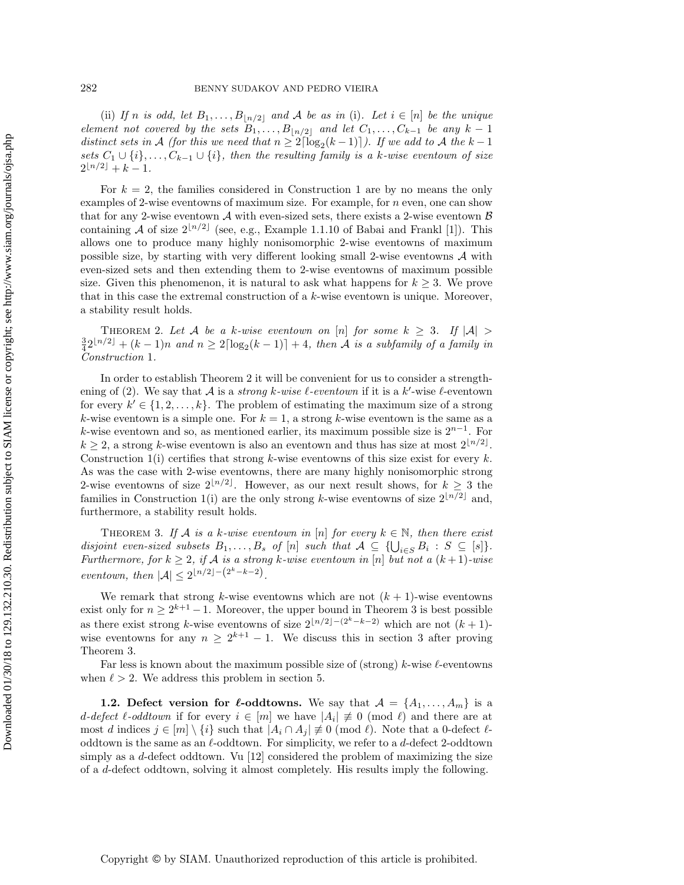(ii) If n is odd, let  $B_1, \ldots, B_{\lfloor n/2 \rfloor}$  and A be as in (i). Let  $i \in [n]$  be the unique element not covered by the sets  $B_1, \ldots, B_{\lfloor n/2 \rfloor}$  and let  $C_1, \ldots, C_{k-1}$  be any  $k-1$ distinct sets in A (for this we need that  $n \geq 2\lceil \log_2(k-1) \rceil$ ). If we add to A the  $k-1$ sets  $C_1 \cup \{i\}, \ldots, C_{k-1} \cup \{i\}$ , then the resulting family is a k-wise eventown of size  $2^{\lfloor n/2 \rfloor} + k - 1.$ 

For  $k = 2$ , the families considered in Construction [1](#page-1-1) are by no means the only examples of 2-wise eventowns of maximum size. For example, for  $n$  even, one can show that for any 2-wise eventown  $A$  with even-sized sets, there exists a 2-wise eventown  $B$ containing A of size  $2^{\lfloor n/2 \rfloor}$  (see, e.g., Example 1.1.10 of Babai and Frankl [\[1\]](#page-15-2)). This allows one to produce many highly nonisomorphic 2-wise eventowns of maximum possible size, by starting with very different looking small 2-wise eventowns  $A$  with even-sized sets and then extending them to 2-wise eventowns of maximum possible size. Given this phenomenon, it is natural to ask what happens for  $k \geq 3$ . We prove that in this case the extremal construction of a k-wise eventown is unique. Moreover, a stability result holds.

<span id="page-2-0"></span>THEOREM 2. Let A be a k-wise eventown on [n] for some  $k \geq 3$ . If  $|\mathcal{A}| >$  $\frac{3}{4}2^{\lfloor n/2 \rfloor} + (k-1)n$  and  $n \geq 2\lceil \log_2(k-1) \rceil + 4$ , then A is a subfamily of a family in Construction [1](#page-1-1).

In order to establish Theorem [2](#page-2-0) it will be convenient for us to consider a strength-ening of [\(2\)](#page-1-2). We say that A is a *strong k-wise*  $\ell$ *-eventown* if it is a k'-wise  $\ell$ -eventown for every  $k' \in \{1, 2, \ldots, k\}$ . The problem of estimating the maximum size of a strong k-wise eventown is a simple one. For  $k = 1$ , a strong k-wise eventown is the same as a k-wise eventown and so, as mentioned earlier, its maximum possible size is  $2^{n-1}$ . For  $k \geq 2$ , a strong k-wise eventown is also an eventown and thus has size at most  $2^{\lfloor n/2 \rfloor}$ . Construction [1\(](#page-1-1)i) certifies that strong k-wise eventowns of this size exist for every  $k$ . As was the case with 2-wise eventowns, there are many highly nonisomorphic strong 2-wise eventowns of size  $2^{\lfloor n/2 \rfloor}$ . However, as our next result shows, for  $k \geq 3$  the families in Construction [1\(](#page-1-1)i) are the only strong k-wise eventowns of size  $2^{\lfloor n/2 \rfloor}$  and, furthermore, a stability result holds.

<span id="page-2-1"></span>THEOREM 3. If A is a k-wise eventown in [n] for every  $k \in \mathbb{N}$ , then there exist disjoint even-sized subsets  $B_1, \ldots, B_s$  of  $[n]$  such that  $A \subseteq \{\bigcup_{i \in S} B_i : S \subseteq [s]\}.$ Furthermore, for  $k \geq 2$ , if A is a strong k-wise eventown in [n] but not a  $(k+1)$ -wise eventown, then  $|\mathcal{A}| \leq 2^{\lfloor n/2 \rfloor - (2^k - k - 2)}$ .

We remark that strong k-wise eventowns which are not  $(k + 1)$ -wise eventowns exist only for  $n \geq 2^{k+1} - 1$ . Moreover, the upper bound in Theorem [3](#page-2-1) is best possible as there exist strong k-wise eventowns of size  $2^{\lfloor n/2\rfloor-(2^k-k-2)}$  which are not  $(k+1)$ wise eventowns for any  $n \geq 2^{k+1} - 1$ . We discuss this in section [3](#page-4-0) after proving Theorem [3.](#page-2-1)

Far less is known about the maximum possible size of (strong) k-wise  $\ell$ -eventowns when  $\ell > 2$ . We address this problem in section [5.](#page-13-0)

**1.2.** Defect version for  $\ell$ -oddtowns. We say that  $A = \{A_1, \ldots, A_m\}$  is a d-defect  $\ell$ -oddtown if for every  $i \in [m]$  we have  $|A_i| \neq 0 \pmod{\ell}$  and there are at most d indices  $j \in [m] \setminus \{i\}$  such that  $|A_i \cap A_j| \not\equiv 0 \pmod{\ell}$ . Note that a 0-defect  $\ell$ oddtown is the same as an  $\ell$ -oddtown. For simplicity, we refer to a  $d$ -defect 2-oddtown simply as a  $d$ -defect oddtown. Vu  $[12]$  considered the problem of maximizing the size of a d-defect oddtown, solving it almost completely. His results imply the following.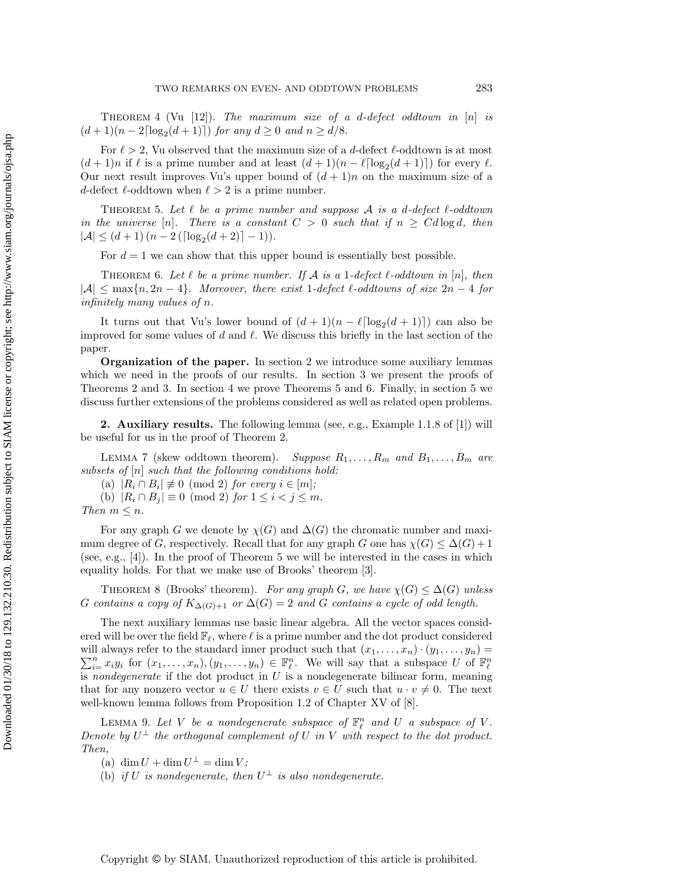THEOREM 4 (Vu [\[12\]](#page-15-5)). The maximum size of a d-defect oddtown in  $[n]$  is  $(d+1)(n-2\lceil \log_2(d+1) \rceil)$  for any  $d \ge 0$  and  $n \ge d/8$ .

For  $\ell > 2$ , Vu observed that the maximum size of a d-defect  $\ell$ -oddtown is at most  $(d+1)n$  if  $\ell$  is a prime number and at least  $(d+1)(n-\ell \lceil \log_2(d+1) \rceil)$  for every  $\ell$ . Our next result improves Vu's upper bound of  $(d + 1)n$  on the maximum size of a d-defect  $\ell$ -oddtown when  $\ell > 2$  is a prime number.

<span id="page-3-1"></span>THEOREM 5. Let  $\ell$  be a prime number and suppose  $\mathcal A$  is a d-defect  $\ell$ -oddtown in the universe [n]. There is a constant  $C > 0$  such that if  $n \geq C d \log d$ , then  $|\mathcal{A}| \leq (d+1)(n-2(\lceil \log_2(d+2) \rceil - 1)).$ 

<span id="page-3-2"></span>For  $d = 1$  we can show that this upper bound is essentially best possible.

THEOREM 6. Let  $\ell$  be a prime number. If  $A$  is a 1-defect  $\ell$ -oddtown in [n], then  $|A| \leq \max\{n, 2n-4\}$ . Moreover, there exist 1-defect  $\ell$ -oddtowns of size  $2n-4$  for infinitely many values of n.

It turns out that Vu's lower bound of  $(d + 1)(n - \ell \lceil \log_2(d + 1) \rceil)$  can also be improved for some values of d and  $\ell$ . We discuss this briefly in the last section of the paper.

Organization of the paper. In section [2](#page-3-0) we introduce some auxiliary lemmas which we need in the proofs of our results. In section [3](#page-4-0) we present the proofs of Theorems [2](#page-1-2) and [3.](#page-2-1) In section [4](#page-9-0) we prove Theorems [5](#page-3-1) and [6.](#page-3-2) Finally, in section [5](#page-13-0) we discuss further extensions of the problems considered as well as related open problems.

<span id="page-3-0"></span>**2. Auxiliary results.** The following lemma (see, e.g., Example 1.1.8 of [\[1\]](#page-15-2)) will be useful for us in the proof of Theorem [2.](#page-2-0)

LEMMA 7 (skew oddtown theorem). Suppose  $R_1, \ldots, R_m$  and  $B_1, \ldots, B_m$  are subsets of  $[n]$  such that the following conditions hold:

<span id="page-3-5"></span><span id="page-3-4"></span>(a)  $|R_i \cap B_i| \not\equiv 0 \pmod{2}$  for every  $i \in [m]$ ;

(b)  $|R_i \cap B_j| \equiv 0 \pmod{2}$  for  $1 \leq i < j \leq m$ .

Then  $m \leq n$ .

For any graph G we denote by  $\chi(G)$  and  $\Delta(G)$  the chromatic number and maximum degree of G, respectively. Recall that for any graph G one has  $\chi(G) \leq \Delta(G) + 1$ (see, e.g.,  $[4]$ ). In the proof of Theorem [5](#page-3-1) we will be interested in the cases in which equality holds. For that we make use of Brooks' theorem [\[3\]](#page-15-7).

THEOREM 8 (Brooks' theorem). For any graph G, we have  $\chi(G) \leq \Delta(G)$  unless G contains a copy of  $K_{\Delta(G)+1}$  or  $\Delta(G) = 2$  and G contains a cycle of odd length.

The next auxiliary lemmas use basic linear algebra. All the vector spaces considered will be over the field  $\mathbb{F}_\ell$ , where  $\ell$  is a prime number and the dot product considered  $\sum_{i=1}^n x_i y_i$  for  $(x_1,\ldots,x_n), (y_1,\ldots,y_n) \in \mathbb{F}_{\ell}^n$ . We will say that a subspace U of  $\mathbb{F}_{\ell}^n$ will always refer to the standard inner product such that  $(x_1, \ldots, x_n) \cdot (y_1, \ldots, y_n) =$ is nondegenerate if the dot product in  $U$  is a nondegenerate bilinear form, meaning that for any nonzero vector  $u \in U$  there exists  $v \in U$  such that  $u \cdot v \neq 0$ . The next well-known lemma follows from Proposition 1.2 of Chapter XV of [\[8\]](#page-15-8).

LEMMA 9. Let V be a nondegenerate subspace of  $\mathbb{F}_{\ell}^n$  and U a subspace of V. Denote by  $U^{\perp}$  the orthogonal complement of U in V with respect to the dot product. Then,

<span id="page-3-3"></span>(a)  $\dim U + \dim U^{\perp} = \dim V;$ 

(b) if U is nondegenerate, then  $U^{\perp}$  is also nondegenerate.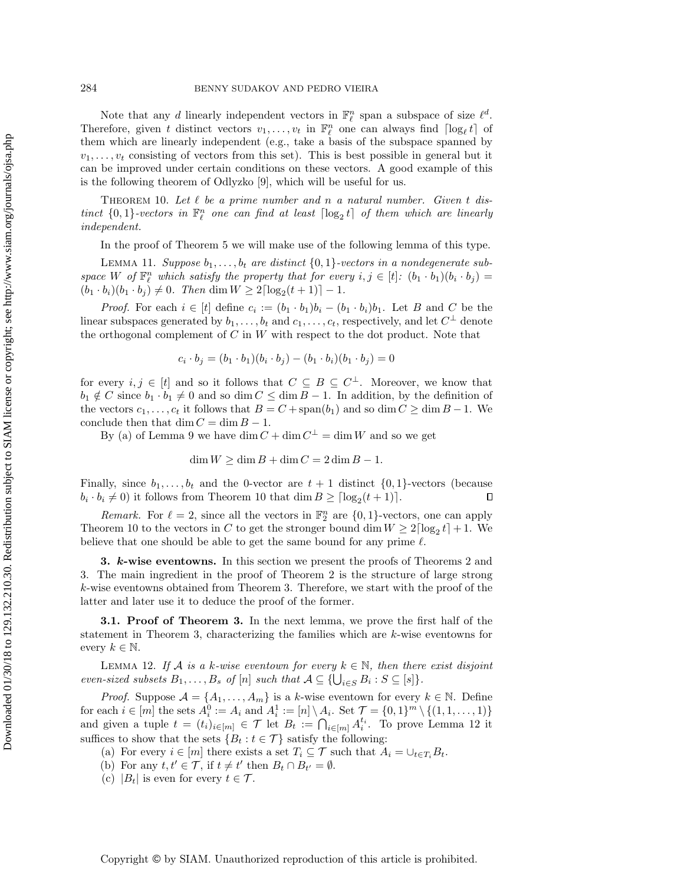Note that any d linearly independent vectors in  $\mathbb{F}_{\ell}^n$  span a subspace of size  $\ell^d$ . Therefore, given t distinct vectors  $v_1, \ldots, v_t$  in  $\mathbb{F}_\ell^n$  one can always find  $\lceil \log_\ell t \rceil$  of them which are linearly independent (e.g., take a basis of the subspace spanned by  $v_1, \ldots, v_t$  consisting of vectors from this set). This is best possible in general but it can be improved under certain conditions on these vectors. A good example of this is the following theorem of Odlyzko [\[9\]](#page-15-9), which will be useful for us.

THEOREM 10. Let  $\ell$  be a prime number and n a natural number. Given t distinct  $\{0,1\}$ -vectors in  $\mathbb{F}_\ell^n$  one can find at least  $\lceil \log_2 t \rceil$  of them which are linearly independent.

In the proof of Theorem [5](#page-3-1) we will make use of the following lemma of this type.

<span id="page-4-3"></span>LEMMA 11. Suppose  $b_1, \ldots, b_t$  are distinct  $\{0,1\}$ -vectors in a nondegenerate subspace W of  $\mathbb{F}_{\ell}^n$  which satisfy the property that for every  $i, j \in [t]$ :  $(b_1 \cdot b_1)(b_i \cdot b_j)$  $(b_1 \cdot b_i)(b_1 \cdot b_j) \neq 0$ . Then dim  $W \geq 2\lceil \log_2(t+1) \rceil - 1$ .

*Proof.* For each  $i \in [t]$  define  $c_i := (b_1 \cdot b_1)b_i - (b_1 \cdot b_i)b_1$ . Let B and C be the linear subspaces generated by  $b_1, \ldots, b_t$  and  $c_1, \ldots, c_t$ , respectively, and let  $C^{\perp}$  denote the orthogonal complement of  $C$  in  $W$  with respect to the dot product. Note that

<span id="page-4-1"></span>
$$
c_i \cdot b_j = (b_1 \cdot b_1)(b_i \cdot b_j) - (b_1 \cdot b_i)(b_1 \cdot b_j) = 0
$$

for every  $i, j \in [t]$  and so it follows that  $C \subseteq B \subseteq C^{\perp}$ . Moreover, we know that  $b_1 \notin C$  since  $b_1 \cdot b_1 \neq 0$  and so dim  $C \leq \dim B - 1$ . In addition, by the definition of the vectors  $c_1, \ldots, c_t$  it follows that  $B = C + \text{span}(b_1)$  and so dim  $C \geq \dim B - 1$ . We conclude then that dim  $C = \dim B - 1$ .

By (a) of Lemma [9](#page-3-3) we have dim  $C + \dim C^{\perp} = \dim W$  and so we get

$$
\dim W \ge \dim B + \dim C = 2 \dim B - 1.
$$

Finally, since  $b_1, \ldots, b_t$  and the 0-vector are  $t + 1$  distinct  $\{0, 1\}$ -vectors (because  $b_i \cdot b_i \neq 0$ ) it follows from Theorem [10](#page-4-1) that dim  $B \geq \lceil \log_2(t+1) \rceil$ .  $\Box$ 

Remark. For  $\ell = 2$ , since all the vectors in  $\mathbb{F}_2^n$  are  $\{0, 1\}$ -vectors, one can apply Theorem [10](#page-4-1) to the vectors in C to get the stronger bound dim  $W \ge 2\lceil \log_2 t \rceil + 1$ . We believe that one should be able to get the same bound for any prime  $\ell$ .

<span id="page-4-0"></span>3. k-wise eventowns. In this section we present the proofs of Theorems [2](#page-2-0) and [3.](#page-2-1) The main ingredient in the proof of Theorem [2](#page-2-0) is the structure of large strong k-wise eventowns obtained from Theorem [3.](#page-2-1) Therefore, we start with the proof of the latter and later use it to deduce the proof of the former.

**3.1. Proof of Theorem [3.](#page-2-1)** In the next lemma, we prove the first half of the statement in Theorem [3,](#page-2-1) characterizing the families which are k-wise eventowns for every  $k \in \mathbb{N}$ .

<span id="page-4-2"></span>LEMMA 12. If A is a k-wise eventown for every  $k \in \mathbb{N}$ , then there exist disjoint even-sized subsets  $B_1, \ldots, B_s$  of  $[n]$  such that  $A \subseteq \{\bigcup_{i \in S} B_i : S \subseteq [s]\}.$ 

*Proof.* Suppose  $A = \{A_1, \ldots, A_m\}$  is a k-wise eventown for every  $k \in \mathbb{N}$ . Define for each  $i \in [m]$  the sets  $A_i^0 := A_i$  and  $A_i^1 := [n] \setminus A_i$ . Set  $\mathcal{T} = \{0, 1\}^m \setminus \{(1, 1, \ldots, 1)\}$ and given a tuple  $t = (t_i)_{i \in [m]} \in \mathcal{T}$  let  $B_t := \bigcap_{i \in [m]} A_i^{t_i}$ . To prove Lemma [12](#page-4-2) it suffices to show that the sets  $\{B_t : t \in \mathcal{T}\}\$  satisfy the following:

- (a) For every  $i \in [m]$  there exists a set  $T_i \subseteq \mathcal{T}$  such that  $A_i = \bigcup_{t \in T_i} B_t$ .
- (b) For any  $t, t' \in \mathcal{T}$ , if  $t \neq t'$  then  $B_t \cap B_{t'} = \emptyset$ .
- (c)  $|B_t|$  is even for every  $t \in \mathcal{T}$ .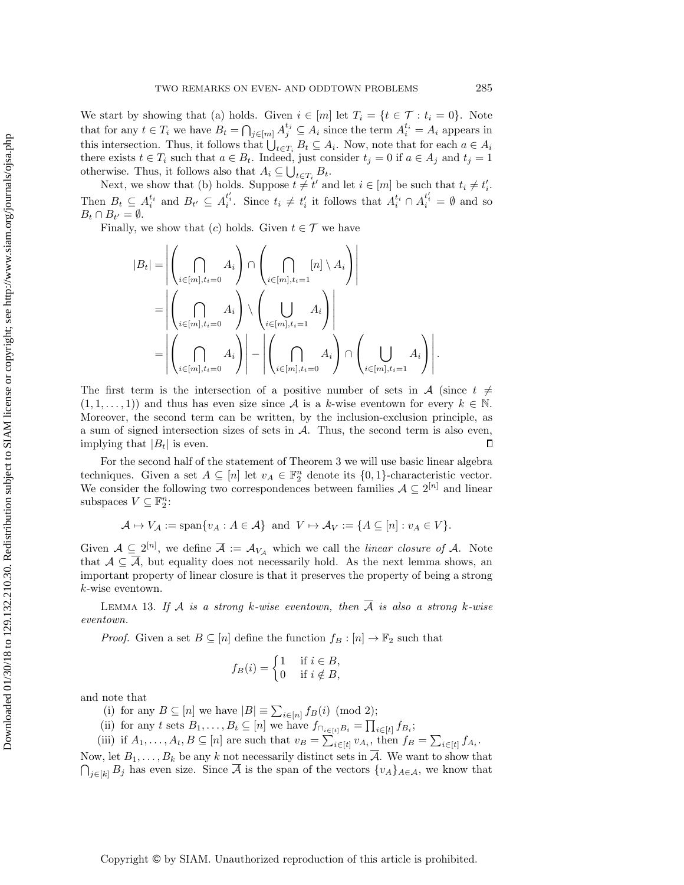We start by showing that (a) holds. Given  $i \in [m]$  let  $T_i = \{t \in \mathcal{T} : t_i = 0\}$ . Note that for any  $t \in T_i$  we have  $B_t = \bigcap_{j \in [m]} A_j^{t_j} \subseteq A_i$  since the term  $A_i^{t_i} = A_i$  appears in this intersection. Thus, it follows that  $\bigcup_{t \in T_i} B_t \subseteq A_i$ . Now, note that for each  $a \in A_i$ there exists  $t \in T_i$  such that  $a \in B_t$ . Indeed, just consider  $t_j = 0$  if  $a \in A_j$  and  $t_j = 1$ otherwise. Thus, it follows also that  $A_i \subseteq \bigcup_{t \in T_i} B_t$ .

Next, we show that (b) holds. Suppose  $t \neq t'$  and let  $i \in [m]$  be such that  $t_i \neq t'_i$ . Then  $B_t \subseteq A_i^{t_i}$  and  $B_{t'} \subseteq A_i^{t_i'}$ . Since  $t_i \neq t_i'$  it follows that  $A_i^{t_i} \cap A_i^{t_i'} = \emptyset$  and so  $B_t \cap B_{t'} = \emptyset.$ 

Finally, we show that  $(c)$  holds. Given  $t \in \mathcal{T}$  we have

$$
|B_t| = \left| \left( \bigcap_{i \in [m], t_i = 0} A_i \right) \cap \left( \bigcap_{i \in [m], t_i = 1} [n] \setminus A_i \right) \right|
$$
  
= 
$$
\left| \left( \bigcap_{i \in [m], t_i = 0} A_i \right) \setminus \left( \bigcup_{i \in [m], t_i = 1} A_i \right) \right|
$$
  
= 
$$
\left| \left( \bigcap_{i \in [m], t_i = 0} A_i \right) \right| - \left| \left( \bigcap_{i \in [m], t_i = 0} A_i \right) \cap \left( \bigcup_{i \in [m], t_i = 1} A_i \right) \right|.
$$

The first term is the intersection of a positive number of sets in A (since  $t \neq$  $(1, 1, \ldots, 1)$  and thus has even size since A is a k-wise eventown for every  $k \in \mathbb{N}$ . Moreover, the second term can be written, by the inclusion-exclusion principle, as a sum of signed intersection sizes of sets in  $A$ . Thus, the second term is also even, implying that  $|B_t|$  is even.  $\Box$ 

For the second half of the statement of Theorem [3](#page-2-1) we will use basic linear algebra techniques. Given a set  $A \subseteq [n]$  let  $v_A \in \mathbb{F}_2^n$  denote its  $\{0,1\}$ -characteristic vector. We consider the following two correspondences between families  $A \subseteq 2^{[n]}$  and linear subspaces  $V \subseteq \mathbb{F}_2^n$ :

<span id="page-5-0"></span>
$$
\mathcal{A} \mapsto V_{\mathcal{A}} := \text{span}\{v_A : A \in \mathcal{A}\} \text{ and } V \mapsto \mathcal{A}_V := \{A \subseteq [n] : v_A \in V\}.
$$

Given  $A \subseteq 2^{[n]}$ , we define  $\overline{A} := A_{V_A}$  which we call the *linear closure of A*. Note that  $A \subseteq A$ , but equality does not necessarily hold. As the next lemma shows, an important property of linear closure is that it preserves the property of being a strong k-wise eventown.

LEMMA 13. If A is a strong k-wise eventown, then  $\overline{A}$  is also a strong k-wise eventown.

*Proof.* Given a set  $B \subseteq [n]$  define the function  $f_B : [n] \to \mathbb{F}_2$  such that

$$
f_B(i) = \begin{cases} 1 & \text{if } i \in B, \\ 0 & \text{if } i \notin B, \end{cases}
$$

and note that

(i) for any  $B \subseteq [n]$  we have  $|B| \equiv \sum_{i \in [n]} f_B(i) \pmod{2}$ ;

(ii) for any t sets  $B_1, \ldots, B_t \subseteq [n]$  we have  $f_{\cap_{i \in [t]}B_i} = \prod_{i \in [t]} f_{B_i}$ ;

(iii) if  $A_1, \ldots, A_t, B \subseteq [n]$  are such that  $v_B = \sum_{i \in [t]} v_{A_i}$ , then  $f_B = \sum_{i \in [t]} f_{A_i}$ .

Now, let  $B_1, \ldots, B_k$  be any k not necessarily distinct sets in  $\overline{A}$ . We want to show that  $\bigcap_{j\in[k]}B_j$  has even size. Since  $\overline{A}$  is the span of the vectors  $\{v_A\}_{A\in\mathcal{A}}$ , we know that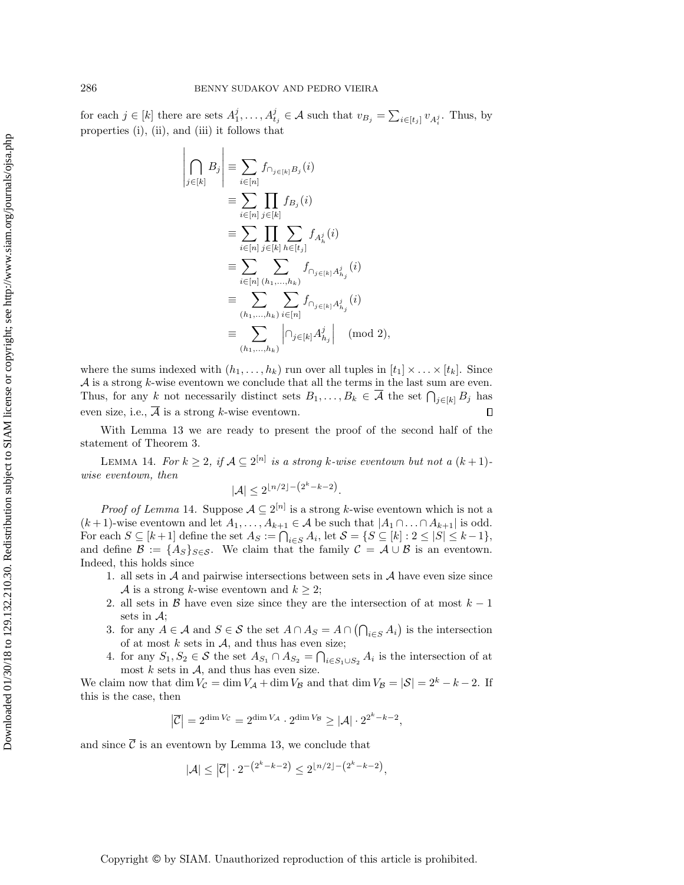for each  $j \in [k]$  there are sets  $A_1^j, \ldots, A_{t_j}^j \in \mathcal{A}$  such that  $v_{B_j} = \sum_{i \in [t_j]} v_{A_i^j}$ . Thus, by properties (i), (ii), and (iii) it follows that

> $\overline{\phantom{a}}$  $\overline{\phantom{a}}$  $\overline{\phantom{a}}$  $\overline{\phantom{a}}$  $\overline{\phantom{a}}$  $\mid$

$$
\left| \bigcap_{j \in [k]} B_j \right| \equiv \sum_{i \in [n]} f_{\cap_{j \in [k]} B_j}(i)
$$
\n
$$
\equiv \sum_{i \in [n]} \prod_{j \in [k]} f_{B_j}(i)
$$
\n
$$
\equiv \sum_{i \in [n]} \prod_{j \in [k]} \sum_{h \in [t_j]} f_{A_h^j}(i)
$$
\n
$$
\equiv \sum_{i \in [n]} \sum_{(h_1, \dots, h_k)} f_{\cap_{j \in [k]} A_{h_j}^j}(i)
$$
\n
$$
\equiv \sum_{(h_1, \dots, h_k)} \sum_{i \in [n]} f_{\cap_{j \in [k]} A_{h_j}^j}(i)
$$
\n
$$
\equiv \sum_{(h_1, \dots, h_k)} \left| \bigcap_{j \in [k]} A_{h_j}^j \right| \pmod{2},
$$

where the sums indexed with  $(h_1, \ldots, h_k)$  run over all tuples in  $[t_1] \times \ldots \times [t_k]$ . Since  $\mathcal A$  is a strong k-wise eventown we conclude that all the terms in the last sum are even. Thus, for any k not necessarily distinct sets  $B_1, \ldots, B_k \in \overline{A}$  the set  $\bigcap_{j \in [k]} B_j$  has even size, i.e.,  $\overline{A}$  is a strong k-wise eventown. П

With Lemma [13](#page-5-0) we are ready to present the proof of the second half of the statement of Theorem [3.](#page-2-1)

<span id="page-6-0"></span>LEMMA 14. For  $k \geq 2$ , if  $\mathcal{A} \subseteq 2^{[n]}$  is a strong k-wise eventown but not a  $(k+1)$ wise eventown, then

$$
|\mathcal{A}| \le 2^{\lfloor n/2 \rfloor - \left(2^k - k - 2\right)}.
$$

*Proof of Lemma* [14](#page-6-0). Suppose  $A \subseteq 2^{[n]}$  is a strong k-wise eventown which is not a  $(k+1)$ -wise eventown and let  $A_1, \ldots, A_{k+1} \in \mathcal{A}$  be such that  $|A_1 \cap \ldots \cap A_{k+1}|$  is odd. For each  $S \subseteq [k+1]$  define the set  $A_S := \bigcap_{i \in S} A_i$ , let  $S = \{S \subseteq [k] : 2 \leq |S| \leq k-1\}$ , and define  $\mathcal{B} := \{A_S\}_{S \in \mathcal{S}}$ . We claim that the family  $\mathcal{C} = \mathcal{A} \cup \mathcal{B}$  is an eventown. Indeed, this holds since

- 1. all sets in  $A$  and pairwise intersections between sets in  $A$  have even size since A is a strong k-wise eventown and  $k \geq 2$ ;
- 2. all sets in B have even size since they are the intersection of at most  $k 1$ sets in  $\mathcal{A}$ :
- 3. for any  $A \in \mathcal{A}$  and  $S \in \mathcal{S}$  the set  $A \cap A_S = A \cap (\bigcap_{i \in S} A_i)$  is the intersection of at most  $k$  sets in  $A$ , and thus has even size;
- 4. for any  $S_1, S_2 \in \mathcal{S}$  the set  $A_{S_1} \cap A_{S_2} = \bigcap_{i \in S_1 \cup S_2} A_i$  is the intersection of at most  $k$  sets in  $A$ , and thus has even size.

We claim now that dim  $V_{\mathcal{C}} = \dim V_{\mathcal{A}} + \dim V_{\mathcal{B}}$  and that  $\dim V_{\mathcal{B}} = |\mathcal{S}| = 2^k - k - 2$ . If this is the case, then

$$
\left|\overline{\mathcal{C}}\right| = 2^{\dim V_{\mathcal{C}}} = 2^{\dim V_{\mathcal{A}}} \cdot 2^{\dim V_{\mathcal{B}}} \geq |\mathcal{A}| \cdot 2^{2^k - k - 2},
$$

and since  $\overline{C}$  is an eventown by Lemma [13,](#page-5-0) we conclude that

$$
|\mathcal{A}| \le |\overline{\mathcal{C}}| \cdot 2^{-(2^k - k - 2)} \le 2^{\lfloor n/2 \rfloor - (2^k - k - 2)},
$$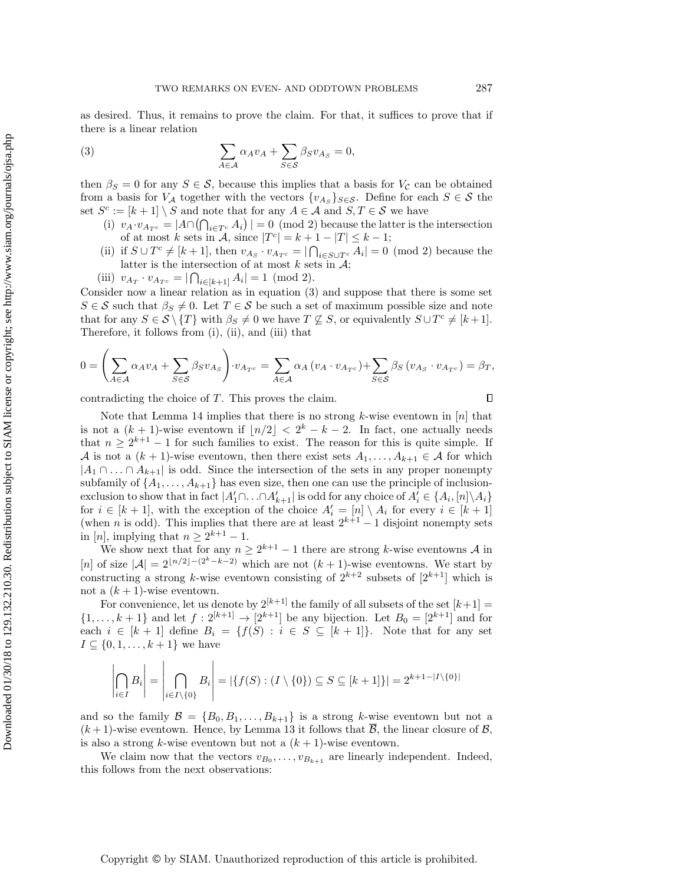as desired. Thus, it remains to prove the claim. For that, it suffices to prove that if there is a linear relation

<span id="page-7-0"></span>(3) 
$$
\sum_{A \in \mathcal{A}} \alpha_A v_A + \sum_{S \in \mathcal{S}} \beta_S v_{A_S} = 0,
$$

then  $\beta_S = 0$  for any  $S \in \mathcal{S}$ , because this implies that a basis for  $V_{\mathcal{C}}$  can be obtained from a basis for  $V_A$  together with the vectors  $\{v_{A_S}\}_{S \in \mathcal{S}}$ . Define for each  $S \in \mathcal{S}$  the set  $S^c := [k+1] \setminus S$  and note that for any  $A \in \mathcal{A}$  and  $S, T \in \mathcal{S}$  we have

- (i)  $v_A \cdot v_{A_Tc} = |A \cap (\bigcap_{i \in T^c} A_i)| = 0 \pmod{2}$  because the latter is the intersection of at most k sets in  $\mathcal{A}$ , since  $|T^c| = k + 1 - |T| \leq k - 1$ ;
- (ii) if  $S \cup T^c \neq [k+1]$ , then  $v_{A_S} \cdot v_{A_{T^c}} = |\bigcap_{i \in S \cup T^c} A_i| = 0 \pmod{2}$  because the latter is the intersection of at most  $k$  sets in  $\mathcal{A}$ ;
- (iii)  $v_{A_T} \cdot v_{A_{T^c}} = |\bigcap_{i \in [k+1]} A_i| = 1 \pmod{2}.$

Consider now a linear relation as in equation [\(3\)](#page-7-0) and suppose that there is some set  $S \in \mathcal{S}$  such that  $\beta_S \neq 0$ . Let  $T \in \mathcal{S}$  be such a set of maximum possible size and note that for any  $S \in \mathcal{S} \setminus \{T\}$  with  $\beta_S \neq 0$  we have  $T \nsubseteq S$ , or equivalently  $S \cup T^c \neq [k+1]$ . Therefore, it follows from (i), (ii), and (iii) that

$$
0 = \left(\sum_{A \in \mathcal{A}} \alpha_A v_A + \sum_{S \in \mathcal{S}} \beta_S v_{A_S}\right) \cdot v_{A_{T^c}} = \sum_{A \in \mathcal{A}} \alpha_A \left(v_A \cdot v_{A_{T^c}}\right) + \sum_{S \in \mathcal{S}} \beta_S \left(v_{A_S} \cdot v_{A_{T^c}}\right) = \beta_T,
$$

contradicting the choice of T. This proves the claim.

 $\overline{1}$ 

 $\Box$ 

Note that Lemma [14](#page-6-0) implies that there is no strong  $k$ -wise eventown in  $[n]$  that is not a  $(k + 1)$ -wise eventown if  $|n/2| < 2<sup>k</sup> - k - 2$ . In fact, one actually needs that  $n \geq 2^{k+1} - 1$  for such families to exist. The reason for this is quite simple. If A is not a  $(k+1)$ -wise eventown, then there exist sets  $A_1, \ldots, A_{k+1} \in \mathcal{A}$  for which  $|A_1 \cap ... \cap A_{k+1}|$  is odd. Since the intersection of the sets in any proper nonempty subfamily of  $\{A_1, \ldots, A_{k+1}\}\$  has even size, then one can use the principle of inclusionexclusion to show that in fact  $|A'_1 \cap ... \cap A'_{k+1}|$  is odd for any choice of  $A'_i \in \{A_i, [n] \setminus A_i\}$ for  $i \in [k+1]$ , with the exception of the choice  $A'_i = [n] \setminus A_i$  for every  $i \in [k+1]$ (when *n* is odd). This implies that there are at least  $2^{k+1} - 1$  disjoint nonempty sets in [n], implying that  $n \geq 2^{k+1} - 1$ .

We show next that for any  $n \geq 2^{k+1} - 1$  there are strong k-wise eventowns A in [n] of size  $|\mathcal{A}| = 2^{\lfloor n/2 \rfloor - (2^k - k - 2)}$  which are not  $(k + 1)$ -wise eventowns. We start by constructing a strong k-wise eventown consisting of  $2^{k+2}$  subsets of  $[2^{k+1}]$  which is not a  $(k+1)$ -wise eventown.

For convenience, let us denote by  $2^{[k+1]}$  the family of all subsets of the set  $[k+1] =$  $\{1, \ldots, k+1\}$  and let  $f: 2^{[k+1]} \to [2^{k+1}]$  be any bijection. Let  $B_0 = [2^{k+1}]$  and for each  $i \in [k+1]$  define  $B_i = \{f(S) : i \in S \subseteq [k+1]\}.$  Note that for any set  $I \subseteq \{0, 1, \ldots, k+1\}$  we have

$$
\left|\bigcap_{i\in I} B_i\right| = \left|\bigcap_{i\in I\setminus\{0\}} B_i\right| = |\{f(S) : (I\setminus\{0\}) \subseteq S \subseteq [k+1]\}| = 2^{k+1-|I\setminus\{0\}|}
$$

and so the family  $\mathcal{B} = \{B_0, B_1, \ldots, B_{k+1}\}\$ is a strong k-wise eventown but not a  $(k+1)$ -wise eventown. Hence, by Lemma [13](#page-5-0) it follows that  $\overline{B}$ , the linear closure of  $\mathcal{B}$ , is also a strong k-wise eventown but not a  $(k + 1)$ -wise eventown.

We claim now that the vectors  $v_{B_0}, \ldots, v_{B_{k+1}}$  are linearly independent. Indeed, this follows from the next observations: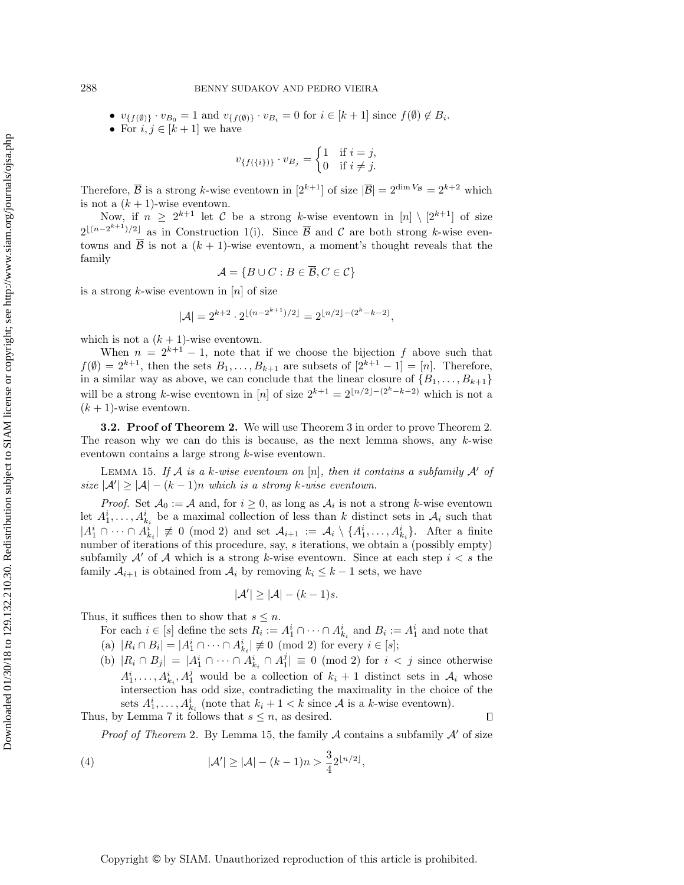- $v_{\{f(\emptyset)\}} \cdot v_{B_0} = 1$  and  $v_{\{f(\emptyset)\}} \cdot v_{B_i} = 0$  for  $i \in [k+1]$  since  $f(\emptyset) \notin B_i$ .
- For  $i, j \in [k+1]$  we have

$$
v_{\{f(\{i\})\}} \cdot v_{B_j} = \begin{cases} 1 & \text{if } i = j, \\ 0 & \text{if } i \neq j. \end{cases}
$$

Therefore,  $\overline{B}$  is a strong k-wise eventown in  $[2^{k+1}]$  of size  $|\overline{B}| = 2^{\dim V_B} = 2^{k+2}$  which is not a  $(k + 1)$ -wise eventown.

Now, if  $n \geq 2^{k+1}$  let C be a strong k-wise eventown in  $[n] \setminus [2^{k+1}]$  of size  $2^{\lfloor (n-2^{k+1})/2 \rfloor}$  as in Construction [1\(](#page-1-1)i). Since  $\overline{B}$  and C are both strong k-wise eventowns and  $\overline{B}$  is not a  $(k + 1)$ -wise eventown, a moment's thought reveals that the family

$$
\mathcal{A} = \{ B \cup C : B \in \overline{\mathcal{B}}, C \in \mathcal{C} \}
$$

is a strong k-wise eventown in  $[n]$  of size

$$
|\mathcal{A}| = 2^{k+2} \cdot 2^{\lfloor (n-2^{k+1})/2 \rfloor} = 2^{\lfloor n/2 \rfloor - (2^k - k - 2)},
$$

which is not a  $(k + 1)$ -wise eventown.

When  $n = 2^{k+1} - 1$ , note that if we choose the bijection f above such that  $f(\emptyset) = 2^{k+1}$ , then the sets  $B_1, \ldots, B_{k+1}$  are subsets of  $[2^{k+1} - 1] = [n]$ . Therefore, in a similar way as above, we can conclude that the linear closure of  $\{B_1, \ldots, B_{k+1}\}\$ will be a strong k-wise eventown in [n] of size  $2^{k+1} = 2^{\lfloor n/2 \rfloor - (2^k - k - 2)}$  which is not a  $(k + 1)$ -wise eventown.

**3.2. Proof of Theorem [2.](#page-2-0)** We will use Theorem [3](#page-2-1) in order to prove Theorem 2. The reason why we can do this is because, as the next lemma shows, any  $k$ -wise eventown contains a large strong k-wise eventown.

LEMMA 15. If A is a k-wise eventown on [n], then it contains a subfamily  $\mathcal{A}'$  of size  $|\mathcal{A}'| \geq |\mathcal{A}| - (k-1)n$  which is a strong k-wise eventown.

*Proof.* Set  $A_0 := A$  and, for  $i \geq 0$ , as long as  $A_i$  is not a strong k-wise eventown let  $A_1^i, \ldots, A_{k_i}^i$  be a maximal collection of less than k distinct sets in  $A_i$  such that  $|A_1^i \cap \cdots \cap A_{k_i}^i| \neq 0 \pmod{2}$  and set  $\mathcal{A}_{i+1} := \mathcal{A}_i \setminus \{A_1^i, \ldots, A_{k_i}^i\}$ . After a finite number of iterations of this procedure, say, s iterations, we obtain a (possibly empty) subfamily  $A'$  of A which is a strong k-wise eventown. Since at each step  $i < s$  the family  $A_{i+1}$  is obtained from  $A_i$  by removing  $k_i \leq k-1$  sets, we have

<span id="page-8-0"></span>
$$
|\mathcal{A}'| \geq |\mathcal{A}| - (k-1)s.
$$

Thus, it suffices then to show that  $s \leq n$ .

For each  $i \in [s]$  define the sets  $R_i := A_1^i \cap \cdots \cap A_{k_i}^i$  and  $B_i := A_1^i$  and note that (a)  $|R_i \cap B_i| = |A_1^i \cap \cdots \cap A_{k_i}^i| \not\equiv 0 \pmod{2}$  for every  $i \in [s]$ ;

(b)  $|R_i \cap B_j| = |A_1^i \cap \cdots \cap A_{k_i}^i \cap A_1^j| \equiv 0 \pmod{2}$  for  $i < j$  since otherwise  $A_1^i, \ldots, A_{k_i}^i, A_1^j$  would be a collection of  $k_i + 1$  distinct sets in  $A_i$  whose intersection has odd size, contradicting the maximality in the choice of the sets  $A_1^i, \ldots, A_{k_i}^i$  (note that  $k_i + 1 < k$  since A is a k-wise eventown).

Thus, by Lemma [7](#page-3-4) it follows that  $s \leq n$ , as desired.

*Proof of Theorem* [2](#page-2-0). By Lemma [15,](#page-8-0) the family  $\mathcal A$  contains a subfamily  $\mathcal A'$  of size

 $\Box$ 

<span id="page-8-1"></span>(4) 
$$
|\mathcal{A}'| \geq |\mathcal{A}| - (k-1)n > \frac{3}{4} 2^{\lfloor n/2 \rfloor},
$$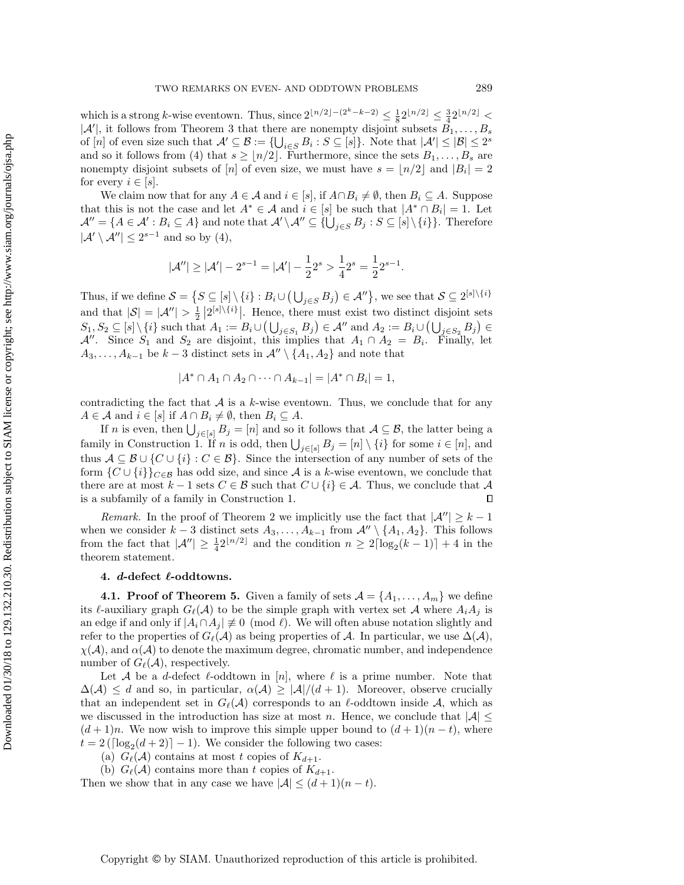which is a strong k-wise eventown. Thus, since  $2^{\lfloor n/2 \rfloor - (2^k - k - 2)} \leq \frac{1}{8} 2^{\lfloor n/2 \rfloor} \leq \frac{3}{4} 2^{\lfloor n/2 \rfloor}$  $|\mathcal{A}'|$ , it follows from Theorem [3](#page-2-1) that there are nonempty disjoint subsets  $B_1, \ldots, B_s$ of  $[n]$  of even size such that  $\mathcal{A}' \subseteq \mathcal{B} := \{\bigcup_{i \in S} B_i : S \subseteq [s]\}\.$  Note that  $|\mathcal{A}'| \leq |\mathcal{B}| \leq 2^s$ and so it follows from [\(4\)](#page-8-1) that  $s \geq \lfloor n/2 \rfloor$ . Furthermore, since the sets  $B_1, \ldots, B_s$  are nonempty disjoint subsets of [n] of even size, we must have  $s = \lfloor n/2 \rfloor$  and  $|B_i| = 2$ for every  $i \in [s]$ .

We claim now that for any  $A \in \mathcal{A}$  and  $i \in [s]$ , if  $A \cap B_i \neq \emptyset$ , then  $B_i \subseteq A$ . Suppose that this is not the case and let  $A^* \in \mathcal{A}$  and  $i \in [s]$  be such that  $|A^* \cap B_i| = 1$ . Let  $\mathcal{A}'' = \{A \in \mathcal{A}' : B_i \subseteq A\}$  and note that  $\mathcal{A}' \setminus \mathcal{A}'' \subseteq \{\bigcup_{j \in S} B_j : S \subseteq [s] \setminus \{i\}\}\.$  Therefore  $|\mathcal{A}' \setminus \mathcal{A}''| \leq 2^{s-1}$  and so by [\(4\)](#page-8-1),

$$
|\mathcal{A}''| \geq |\mathcal{A}'| - 2^{s-1} = |\mathcal{A}'| - \frac{1}{2}2^s > \frac{1}{4}2^s = \frac{1}{2}2^{s-1}.
$$

Thus, if we define  $S = \left\{ S \subseteq [s] \setminus \{i\} : B_i \cup (\bigcup_{j \in S} B_j) \in \mathcal{A}'' \right\}$ , we see that  $S \subseteq 2^{\lfloor s \rfloor \setminus \{i\}}$ and that  $|S| = |\mathcal{A}''| > \frac{1}{2} |2^{[s] \setminus \{i\}}|$ . Hence, there must exist two distinct disjoint sets  $S_1, S_2 \subseteq [s] \setminus \{i\}$  such that  $A_1 := B_i \cup (\bigcup_{j \in S_1} B_j) \in \mathcal{A}''$  and  $A_2 := B_i \cup (\bigcup_{j \in S_2} B_j) \in$ A''. Since  $S_1$  and  $S_2$  are disjoint, this implies that  $A_1 \cap A_2 = B_i$ . Finally, let  $A_3, \ldots, A_{k-1}$  be  $k-3$  distinct sets in  $\mathcal{A}'' \setminus \{A_1, A_2\}$  and note that

$$
|A^* \cap A_1 \cap A_2 \cap \dots \cap A_{k-1}| = |A^* \cap B_i| = 1,
$$

contradicting the fact that  $A$  is a k-wise eventown. Thus, we conclude that for any  $A \in \mathcal{A}$  and  $i \in [s]$  if  $A \cap B_i \neq \emptyset$ , then  $B_i \subseteq A$ .

If *n* is even, then  $\bigcup_{j\in[s]} B_j = [n]$  and so it follows that  $A \subseteq \mathcal{B}$ , the latter being a family in Construction [1.](#page-1-1) If *n* is odd, then  $\bigcup_{j\in[s]} B_j = [n] \setminus \{i\}$  for some  $i \in [n]$ , and thus  $A \subseteq B \cup \{C \cup \{i\} : C \in B\}$ . Since the intersection of any number of sets of the form  $\{C \cup \{i\}\}_{C \in \mathcal{B}}$  has odd size, and since A is a k-wise eventown, we conclude that there are at most  $k-1$  sets  $C \in \mathcal{B}$  such that  $C \cup \{i\} \in \mathcal{A}$ . Thus, we conclude that  $\mathcal{A}$ is a subfamily of a family in Construction [1.](#page-1-1)  $\Box$ 

Remark. In the proof of Theorem [2](#page-2-0) we implicitly use the fact that  $|\mathcal{A}''| \geq k-1$ when we consider  $k-3$  distinct sets  $A_3, \ldots, A_{k-1}$  from  $\mathcal{A}'' \setminus \{A_1, A_2\}$ . This follows from the fact that  $|\mathcal{A}''| \geq \frac{1}{4} 2^{\lfloor n/2 \rfloor}$  and the condition  $n \geq 2\lceil \log_2(k-1) \rceil + 4$  in the theorem statement.

## <span id="page-9-0"></span>4. d-defect  $\ell$ -oddtowns.

**4.1. Proof of Theorem [5.](#page-3-1)** Given a family of sets  $\mathcal{A} = \{A_1, \ldots, A_m\}$  we define its  $\ell$ -auxiliary graph  $G_{\ell}(\mathcal{A})$  to be the simple graph with vertex set  $\mathcal{A}$  where  $A_iA_j$  is an edge if and only if  $|A_i \cap A_j| \neq 0 \pmod{\ell}$ . We will often abuse notation slightly and refer to the properties of  $G_{\ell}(\mathcal{A})$  as being properties of  $\mathcal{A}$ . In particular, we use  $\Delta(\mathcal{A})$ ,  $\chi(\mathcal{A})$ , and  $\alpha(\mathcal{A})$  to denote the maximum degree, chromatic number, and independence number of  $G_{\ell}(\mathcal{A})$ , respectively.

Let A be a d-defect  $\ell$ -oddtown in [n], where  $\ell$  is a prime number. Note that  $\Delta(\mathcal{A}) \leq d$  and so, in particular,  $\alpha(\mathcal{A}) \geq |\mathcal{A}|/(d+1)$ . Moreover, observe crucially that an independent set in  $G_{\ell}(\mathcal{A})$  corresponds to an  $\ell$ -oddtown inside  $\mathcal{A}$ , which as we discussed in the introduction has size at most n. Hence, we conclude that  $|\mathcal{A}| \leq$  $(d+1)n$ . We now wish to improve this simple upper bound to  $(d+1)(n-t)$ , where  $t = 2(\lceil \log_2(d+2) \rceil - 1)$ . We consider the following two cases:

(a)  $G_{\ell}(\mathcal{A})$  contains at most t copies of  $K_{d+1}$ .

(b)  $G_{\ell}(\mathcal{A})$  contains more than t copies of  $K_{d+1}$ . Then we show that in any case we have  $|\mathcal{A}| \leq (d+1)(n-t)$ .

Copyright © by SIAM. Unauthorized reproduction of this article is prohibited.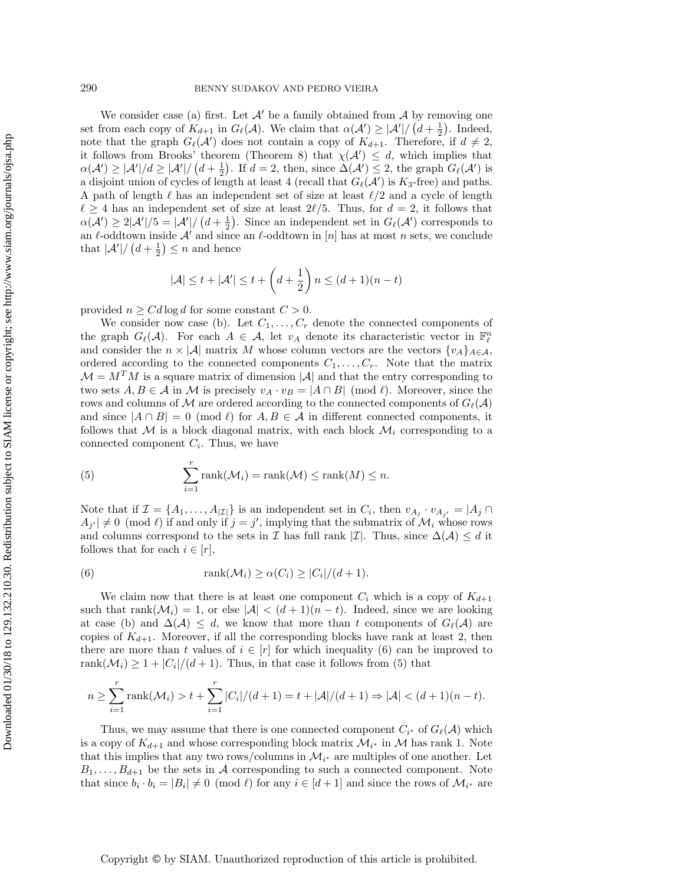## 290 BENNY SUDAKOV AND PEDRO VIEIRA

We consider case (a) first. Let  $A'$  be a family obtained from  $A$  by removing one set from each copy of  $K_{d+1}$  in  $G_{\ell}(\mathcal{A})$ . We claim that  $\alpha(\mathcal{A}') \geq |\mathcal{A}'|/((d + \frac{1}{2})$ . Indeed, note that the graph  $G_{\ell}(\mathcal{A}')$  does not contain a copy of  $K_{d+1}$ . Therefore, if  $d \neq 2$ , it follows from Brooks' theorem (Theorem [8\)](#page-3-5) that  $\chi(\mathcal{A}') \leq d$ , which implies that  $\alpha(\mathcal{A}') \geq |\mathcal{A}'|/d \geq |\mathcal{A}'|/((d+\frac{1}{2})^2)$ . If  $d=2$ , then, since  $\Delta(\mathcal{A}') \leq 2$ , the graph  $G_{\ell}(\mathcal{A}')$  is a disjoint union of cycles of length at least 4 (recall that  $G_{\ell}(\mathcal{A}')$  is  $K_3$ -free) and paths. A path of length  $\ell$  has an independent set of size at least  $\ell/2$  and a cycle of length  $\ell \geq 4$  has an independent set of size at least 2 $\ell/5$ . Thus, for  $d = 2$ , it follows that  $\alpha(\mathcal{A}') \geq 2|\mathcal{A}'|/5 = |\mathcal{A}'|/(d + \frac{1}{2})$ . Since an independent set in  $G_{\ell}(\mathcal{A}')$  corresponds to an  $\ell$ -oddtown inside A' and since an  $\ell$ -oddtown in [n] has at most n sets, we conclude that  $|\mathcal{A}'| / (d + \frac{1}{2}) \leq n$  and hence

$$
|\mathcal{A}| \le t + |\mathcal{A}'| \le t + \left(d + \frac{1}{2}\right)n \le (d+1)(n-t)
$$

provided  $n \geq C d \log d$  for some constant  $C > 0$ .

We consider now case (b). Let  $C_1, \ldots, C_r$  denote the connected components of the graph  $G_{\ell}(\mathcal{A})$ . For each  $A \in \mathcal{A}$ , let  $v_A$  denote its characteristic vector in  $\mathbb{F}_{\ell}^n$ and consider the  $n \times |\mathcal{A}|$  matrix M whose column vectors are the vectors  $\{v_A\}_{A \in \mathcal{A}}$ , ordered according to the connected components  $C_1, \ldots, C_r$ . Note that the matrix  $\mathcal{M} = M^T M$  is a square matrix of dimension |A| and that the entry corresponding to two sets  $A, B \in \mathcal{A}$  in M is precisely  $v_A \cdot v_B = |A \cap B| \pmod{\ell}$ . Moreover, since the rows and columns of M are ordered according to the connected components of  $G_{\ell}(\mathcal{A})$ and since  $|A \cap B| = 0 \pmod{\ell}$  for  $A, B \in \mathcal{A}$  in different connected components, it follows that M is a block diagonal matrix, with each block  $\mathcal{M}_i$  corresponding to a connected component  $C_i$ . Thus, we have

<span id="page-10-1"></span>(5) 
$$
\sum_{i=1}^{r} \text{rank}(\mathcal{M}_{i}) = \text{rank}(\mathcal{M}) \leq \text{rank}(M) \leq n.
$$

Note that if  $\mathcal{I} = \{A_1, \ldots, A_{|\mathcal{I}|}\}\$ is an independent set in  $C_i$ , then  $v_{A_j} \cdot v_{A_{j'}} = |A_j \cap A_j|$  $A_{j'} \neq 0 \pmod{\ell}$  if and only if  $j = j'$ , implying that the submatrix of  $\mathcal{M}_i$  whose rows and columns correspond to the sets in  $\mathcal I$  has full rank  $|\mathcal I|$ . Thus, since  $\Delta(\mathcal A) \leq d$  it follows that for each  $i \in [r]$ ,

<span id="page-10-0"></span>(6) 
$$
\text{rank}(\mathcal{M}_i) \ge \alpha(C_i) \ge |C_i|/(d+1).
$$

We claim now that there is at least one component  $C_i$  which is a copy of  $K_{d+1}$ such that rank( $\mathcal{M}_i$ ) = 1, or else  $|\mathcal{A}| < (d+1)(n-t)$ . Indeed, since we are looking at case (b) and  $\Delta(\mathcal{A}) \leq d$ , we know that more than t components of  $G_{\ell}(\mathcal{A})$  are copies of  $K_{d+1}$ . Moreover, if all the corresponding blocks have rank at least 2, then there are more than t values of  $i \in [r]$  for which inequality [\(6\)](#page-10-0) can be improved to rank $(\mathcal{M}_i) \geq 1 + |C_i|/(d+1)$ . Thus, in that case it follows from [\(5\)](#page-10-1) that

$$
n \ge \sum_{i=1}^{r} \text{rank}(\mathcal{M}_{i}) > t + \sum_{i=1}^{r} |C_{i}|/(d+1) = t + |\mathcal{A}|/(d+1) \Rightarrow |\mathcal{A}| < (d+1)(n-t).
$$

Thus, we may assume that there is one connected component  $C_{i^*}$  of  $G_{\ell}(\mathcal{A})$  which is a copy of  $K_{d+1}$  and whose corresponding block matrix  $\mathcal{M}_{i^*}$  in  $\mathcal M$  has rank 1. Note that this implies that any two rows/columns in  $\mathcal{M}_{i^*}$  are multiples of one another. Let  $B_1, \ldots, B_{d+1}$  be the sets in A corresponding to such a connected component. Note that since  $b_i \cdot b_i = |B_i| \neq 0 \pmod{\ell}$  for any  $i \in [d+1]$  and since the rows of  $\mathcal{M}_{i^*}$  are

Downloaded 01/30/18 to 129.132.210.30. Redistribution subject to SIAM license or copyright; see http://www.siam.org/journals/ojsa.php Downloaded 01/30/18 to 129.132.210.30. Redistribution subject to SIAM license or copyright; see http://www.siam.org/journals/ojsa.php

Copyright © by SIAM. Unauthorized reproduction of this article is prohibited.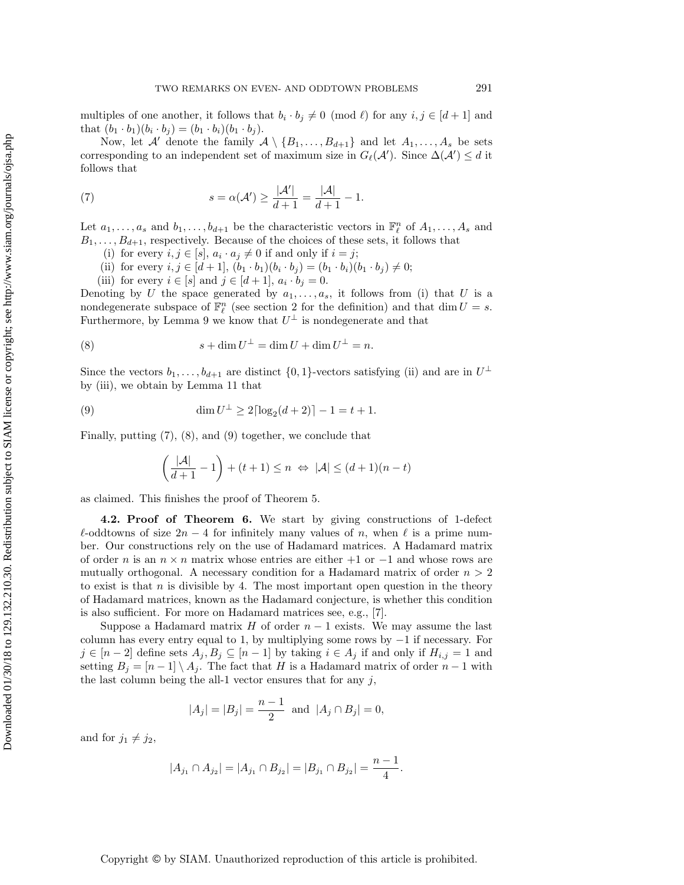multiples of one another, it follows that  $b_i \cdot b_j \neq 0 \pmod{\ell}$  for any  $i, j \in [d + 1]$  and that  $(b_1 \cdot b_1)(b_i \cdot b_j) = (b_1 \cdot b_i)(b_1 \cdot b_j).$ 

Now, let A' denote the family  $A \setminus \{B_1, \ldots, B_{d+1}\}\$  and let  $A_1, \ldots, A_s$  be sets corresponding to an independent set of maximum size in  $G_{\ell}(\mathcal{A}')$ . Since  $\Delta(\mathcal{A}') \leq d$  it follows that

<span id="page-11-0"></span>(7) 
$$
s = \alpha(\mathcal{A}') \ge \frac{|\mathcal{A}'|}{d+1} = \frac{|\mathcal{A}|}{d+1} - 1.
$$

Let  $a_1, \ldots, a_s$  and  $b_1, \ldots, b_{d+1}$  be the characteristic vectors in  $\mathbb{F}_\ell^n$  of  $A_1, \ldots, A_s$  and  $B_1, \ldots, B_{d+1}$ , respectively. Because of the choices of these sets, it follows that

- (i) for every  $i, j \in [s], a_i \cdot a_j \neq 0$  if and only if  $i = j$ ;
- (ii) for every  $i, j \in [d+1], (b_1 \cdot b_1)(b_i \cdot b_j) = (b_1 \cdot b_i)(b_1 \cdot b_j) \neq 0;$
- (iii) for every  $i \in [s]$  and  $j \in [d+1]$ ,  $a_i \cdot b_j = 0$ .

Denoting by U the space generated by  $a_1, \ldots, a_s$ , it follows from (i) that U is a nondegenerate subspace of  $\mathbb{F}_{\ell}^n$  (see section [2](#page-3-0) for the definition) and that dim  $U = s$ . Furthermore, by Lemma [9](#page-3-3) we know that  $U^{\perp}$  is nondegenerate and that

<span id="page-11-1"></span>(8) 
$$
s + \dim U^{\perp} = \dim U + \dim U^{\perp} = n.
$$

Since the vectors  $b_1, \ldots, b_{d+1}$  are distinct  $\{0, 1\}$ -vectors satisfying (ii) and are in  $U^{\perp}$ by (iii), we obtain by Lemma [11](#page-4-3) that

<span id="page-11-2"></span>(9) 
$$
\dim U^{\perp} \ge 2\lceil \log_2(d+2) \rceil - 1 = t + 1.
$$

Finally, putting [\(7\)](#page-11-0), [\(8\)](#page-11-1), and [\(9\)](#page-11-2) together, we conclude that

$$
\left(\frac{|\mathcal{A}|}{d+1} - 1\right) + (t+1) \le n \iff |\mathcal{A}| \le (d+1)(n-t)
$$

as claimed. This finishes the proof of Theorem [5.](#page-3-1)

4.2. Proof of Theorem [6.](#page-3-2) We start by giving constructions of 1-defect  $\ell$ -oddtowns of size  $2n - 4$  for infinitely many values of n, when  $\ell$  is a prime number. Our constructions rely on the use of Hadamard matrices. A Hadamard matrix of order n is an  $n \times n$  matrix whose entries are either  $+1$  or  $-1$  and whose rows are mutually orthogonal. A necessary condition for a Hadamard matrix of order  $n > 2$ to exist is that  $n$  is divisible by 4. The most important open question in the theory of Hadamard matrices, known as the Hadamard conjecture, is whether this condition is also sufficient. For more on Hadamard matrices see, e.g., [\[7\]](#page-15-10).

Suppose a Hadamard matrix H of order  $n-1$  exists. We may assume the last column has every entry equal to 1, by multiplying some rows by  $-1$  if necessary. For  $j \in [n-2]$  define sets  $A_j, B_j \subseteq [n-1]$  by taking  $i \in A_j$  if and only if  $H_{i,j} = 1$  and setting  $B_i = [n-1] \setminus A_i$ . The fact that H is a Hadamard matrix of order  $n-1$  with the last column being the all-1 vector ensures that for any  $j$ ,

$$
|A_j| = |B_j| = \frac{n-1}{2}
$$
 and  $|A_j \cap B_j| = 0$ ,

and for  $j_1 \neq j_2$ ,

$$
|A_{j_1} \cap A_{j_2}| = |A_{j_1} \cap B_{j_2}| = |B_{j_1} \cap B_{j_2}| = \frac{n-1}{4}.
$$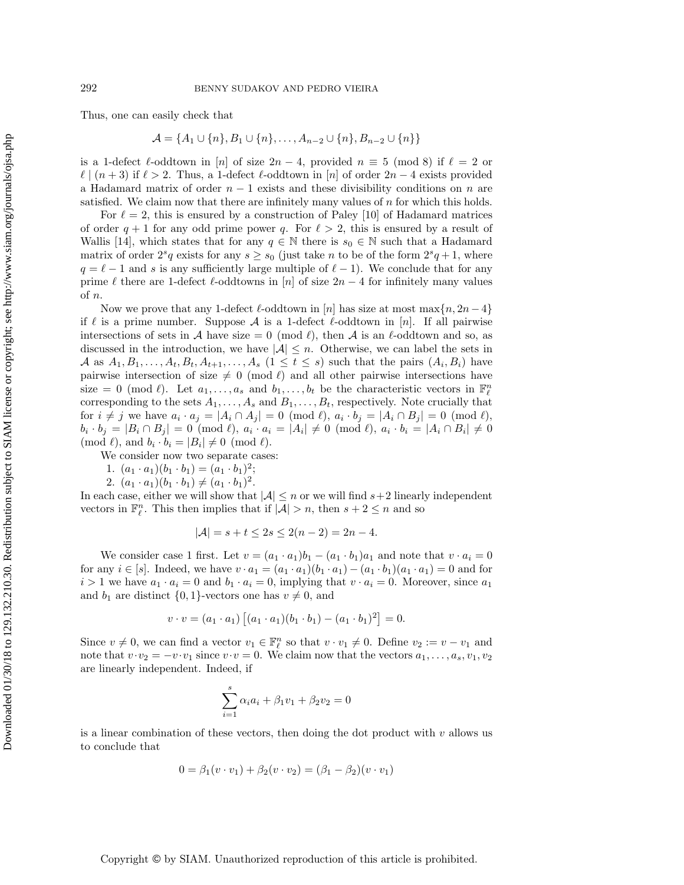Thus, one can easily check that

$$
\mathcal{A} = \{A_1 \cup \{n\}, B_1 \cup \{n\}, \dots, A_{n-2} \cup \{n\}, B_{n-2} \cup \{n\}\}\
$$

is a 1-defect  $\ell$ -oddtown in [n] of size  $2n - 4$ , provided  $n \equiv 5 \pmod{8}$  if  $\ell = 2$  or  $\ell \mid (n + 3)$  if  $\ell > 2$ . Thus, a 1-defect  $\ell$ -oddtown in [n] of order  $2n - 4$  exists provided a Hadamard matrix of order  $n-1$  exists and these divisibility conditions on n are satisfied. We claim now that there are infinitely many values of n for which this holds.

For  $\ell = 2$ , this is ensured by a construction of Paley [\[10\]](#page-15-11) of Hadamard matrices of order  $q + 1$  for any odd prime power q. For  $\ell > 2$ , this is ensured by a result of Wallis [\[14\]](#page-15-12), which states that for any  $q \in \mathbb{N}$  there is  $s_0 \in \mathbb{N}$  such that a Hadamard matrix of order  $2^s q$  exists for any  $s \geq s_0$  (just take n to be of the form  $2^s q + 1$ , where  $q = \ell - 1$  and s is any sufficiently large multiple of  $\ell - 1$ ). We conclude that for any prime  $\ell$  there are 1-defect  $\ell$ -oddtowns in [n] of size  $2n - 4$  for infinitely many values of n.

Now we prove that any 1-defect  $\ell$ -oddtown in [n] has size at most max $\{n, 2n-4\}$ if  $\ell$  is a prime number. Suppose A is a 1-defect  $\ell$ -oddtown in [n]. If all pairwise intersections of sets in A have size  $= 0 \pmod{\ell}$ , then A is an  $\ell$ -oddtown and so, as discussed in the introduction, we have  $|\mathcal{A}| \leq n$ . Otherwise, we can label the sets in A as  $A_1, B_1, \ldots, A_t, B_t, A_{t+1}, \ldots, A_s$   $(1 \leq t \leq s)$  such that the pairs  $(A_i, B_i)$  have pairwise intersection of size  $\neq 0 \pmod{\ell}$  and all other pairwise intersections have size = 0 (mod  $\ell$ ). Let  $a_1, \ldots, a_s$  and  $b_1, \ldots, b_t$  be the characteristic vectors in  $\mathbb{F}_{\ell}^n$ corresponding to the sets  $A_1, \ldots, A_s$  and  $B_1, \ldots, B_t$ , respectively. Note crucially that for  $i \neq j$  we have  $a_i \cdot a_j = |A_i \cap A_j| = 0 \pmod{\ell}$ ,  $a_i \cdot b_j = |A_i \cap B_j| = 0 \pmod{\ell}$ ,  $b_i \cdot b_j = |B_i \cap B_j| = 0 \pmod{\ell}, \ a_i \cdot a_i = |A_i| \neq 0 \pmod{\ell}, \ a_i \cdot b_i = |A_i \cap B_i| \neq 0$  $\pmod{\ell}$ , and  $b_i \cdot b_i = |B_i| \neq 0 \pmod{\ell}$ .

- We consider now two separate cases:
	- 1.  $(a_1 \cdot a_1)(b_1 \cdot b_1) = (a_1 \cdot b_1)^2;$
- 2.  $(a_1 \cdot a_1)(b_1 \cdot b_1) \neq (a_1 \cdot b_1)^2$ .

In each case, either we will show that  $|\mathcal{A}| \leq n$  or we will find  $s+2$  linearly independent vectors in  $\mathbb{F}_\ell^n$ . This then implies that if  $|\mathcal{A}| > n$ , then  $s + 2 \leq n$  and so

$$
|\mathcal{A}| = s + t \le 2s \le 2(n - 2) = 2n - 4.
$$

We consider case 1 first. Let  $v = (a_1 \cdot a_1)b_1 - (a_1 \cdot b_1)a_1$  and note that  $v \cdot a_i = 0$ for any  $i \in [s]$ . Indeed, we have  $v \cdot a_1 = (a_1 \cdot a_1)(b_1 \cdot a_1) - (a_1 \cdot b_1)(a_1 \cdot a_1) = 0$  and for  $i > 1$  we have  $a_1 \cdot a_i = 0$  and  $b_1 \cdot a_i = 0$ , implying that  $v \cdot a_i = 0$ . Moreover, since  $a_1$ and  $b_1$  are distinct  $\{0, 1\}$ -vectors one has  $v \neq 0$ , and

$$
v \cdot v = (a_1 \cdot a_1) [(a_1 \cdot a_1)(b_1 \cdot b_1) - (a_1 \cdot b_1)^2] = 0.
$$

Since  $v \neq 0$ , we can find a vector  $v_1 \in \mathbb{F}_\ell^n$  so that  $v \cdot v_1 \neq 0$ . Define  $v_2 := v - v_1$  and note that  $v \cdot v_2 = -v \cdot v_1$  since  $v \cdot v = 0$ . We claim now that the vectors  $a_1, \ldots, a_s, v_1, v_2$ are linearly independent. Indeed, if

$$
\sum_{i=1}^{s} \alpha_i a_i + \beta_1 v_1 + \beta_2 v_2 = 0
$$

is a linear combination of these vectors, then doing the dot product with  $v$  allows us to conclude that

$$
0 = \beta_1(v \cdot v_1) + \beta_2(v \cdot v_2) = (\beta_1 - \beta_2)(v \cdot v_1)
$$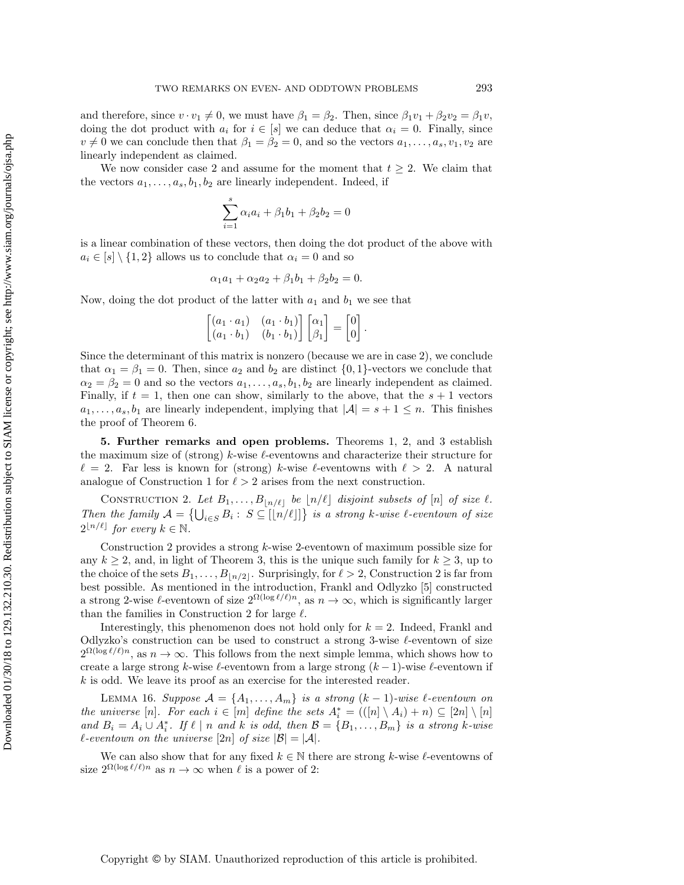and therefore, since  $v \cdot v_1 \neq 0$ , we must have  $\beta_1 = \beta_2$ . Then, since  $\beta_1 v_1 + \beta_2 v_2 = \beta_1 v$ , doing the dot product with  $a_i$  for  $i \in [s]$  we can deduce that  $\alpha_i = 0$ . Finally, since  $v \neq 0$  we can conclude then that  $\beta_1 = \beta_2 = 0$ , and so the vectors  $a_1, \ldots, a_s, v_1, v_2$  are linearly independent as claimed.

We now consider case 2 and assume for the moment that  $t \geq 2$ . We claim that the vectors  $a_1, \ldots, a_s, b_1, b_2$  are linearly independent. Indeed, if

$$
\sum_{i=1}^{s} \alpha_i a_i + \beta_1 b_1 + \beta_2 b_2 = 0
$$

is a linear combination of these vectors, then doing the dot product of the above with  $a_i \in [s] \setminus \{1, 2\}$  allows us to conclude that  $\alpha_i = 0$  and so

$$
\alpha_1 a_1 + \alpha_2 a_2 + \beta_1 b_1 + \beta_2 b_2 = 0.
$$

Now, doing the dot product of the latter with  $a_1$  and  $b_1$  we see that

<span id="page-13-1"></span>

| $\begin{bmatrix} (a_1 \cdot a_1) & (a_1 \cdot b_1) \\ (a_1 \cdot b_1) & (b_1 \cdot b_1) \end{bmatrix} \begin{bmatrix} \alpha_1 \\ \beta_1 \end{bmatrix} =$ |  | $\mathbb{E}\left[\begin{matrix}0\\0\end{matrix}\right].$ |  |
|------------------------------------------------------------------------------------------------------------------------------------------------------------|--|----------------------------------------------------------|--|

Since the determinant of this matrix is nonzero (because we are in case 2), we conclude that  $\alpha_1 = \beta_1 = 0$ . Then, since  $a_2$  and  $b_2$  are distinct  $\{0, 1\}$ -vectors we conclude that  $\alpha_2 = \beta_2 = 0$  and so the vectors  $a_1, \ldots, a_s, b_1, b_2$  are linearly independent as claimed. Finally, if  $t = 1$ , then one can show, similarly to the above, that the  $s + 1$  vectors  $a_1, \ldots, a_s, b_1$  are linearly independent, implying that  $|\mathcal{A}| = s + 1 \leq n$ . This finishes the proof of Theorem [6.](#page-3-2)

<span id="page-13-0"></span>5. Further remarks and open problems. Theorems [1,](#page-1-0) [2,](#page-2-0) and [3](#page-2-1) establish the maximum size of (strong) k-wise  $\ell$ -eventowns and characterize their structure for  $\ell = 2$ . Far less is known for (strong) k-wise  $\ell$ -eventowns with  $\ell > 2$ . A natural analogue of Construction [1](#page-1-1) for  $\ell > 2$  arises from the next construction.

CONSTRUCTION 2. Let  $B_1, \ldots, B_{\lfloor n/\ell \rfloor}$  be  $\lfloor n/\ell \rfloor$  disjoint subsets of  $[n]$  of size  $\ell$ . Then the family  $\mathcal{A} = \{\bigcup_{i \in S} B_i : S \subseteq [[n/\ell]]\}$  is a strong k-wise  $\ell$ -eventown of size  $2^{\lfloor n/\ell \rfloor}$  for every  $k \in \mathbb{N}$ .

Construction [2](#page-13-1) provides a strong  $k$ -wise 2-eventown of maximum possible size for any  $k \geq 2$ , and, in light of Theorem [3,](#page-2-1) this is the unique such family for  $k \geq 3$ , up to the choice of the sets  $B_1, \ldots, B_{\lfloor n/2 \rfloor}$ . Surprisingly, for  $\ell > 2$  $\ell > 2$ , Construction 2 is far from best possible. As mentioned in the introduction, Frankl and Odlyzko [\[5\]](#page-15-3) constructed a strong 2-wise  $\ell$ -eventown of size  $2^{\Omega(\log \ell/\ell)n}$ , as  $n \to \infty$ , which is significantly larger than the families in Construction [2](#page-13-1) for large  $\ell$ .

Interestingly, this phenomenon does not hold only for  $k = 2$ . Indeed, Frankl and Odlyzko's construction can be used to construct a strong 3-wise  $\ell$ -eventown of size  $2^{\Omega(\log \ell/\ell)n}$ , as  $n \to \infty$ . This follows from the next simple lemma, which shows how to create a large strong k-wise  $\ell$ -eventown from a large strong  $(k - 1)$ -wise  $\ell$ -eventown if  $k$  is odd. We leave its proof as an exercise for the interested reader.

<span id="page-13-3"></span>LEMMA 16. Suppose  $\mathcal{A} = \{A_1, \ldots, A_m\}$  is a strong  $(k-1)$ -wise  $\ell$ -eventown on the universe  $[n]$ . For each  $i \in [m]$  define the sets  $A_i^* = (([n] \setminus A_i) + n) \subseteq [2n] \setminus [n]$ and  $B_i = A_i \cup A_i^*$ . If  $\ell \mid n$  and k is odd, then  $\mathcal{B} = \{B_1, \ldots, B_m\}$  is a strong k-wise  $\ell$ -eventown on the universe  $[2n]$  of size  $|\mathcal{B}| = |\mathcal{A}|$ .

<span id="page-13-2"></span>We can also show that for any fixed  $k \in \mathbb{N}$  there are strong k-wise  $\ell$ -eventowns of size  $2^{\Omega(\log \ell/\ell)n}$  as  $n \to \infty$  when  $\ell$  is a power of 2: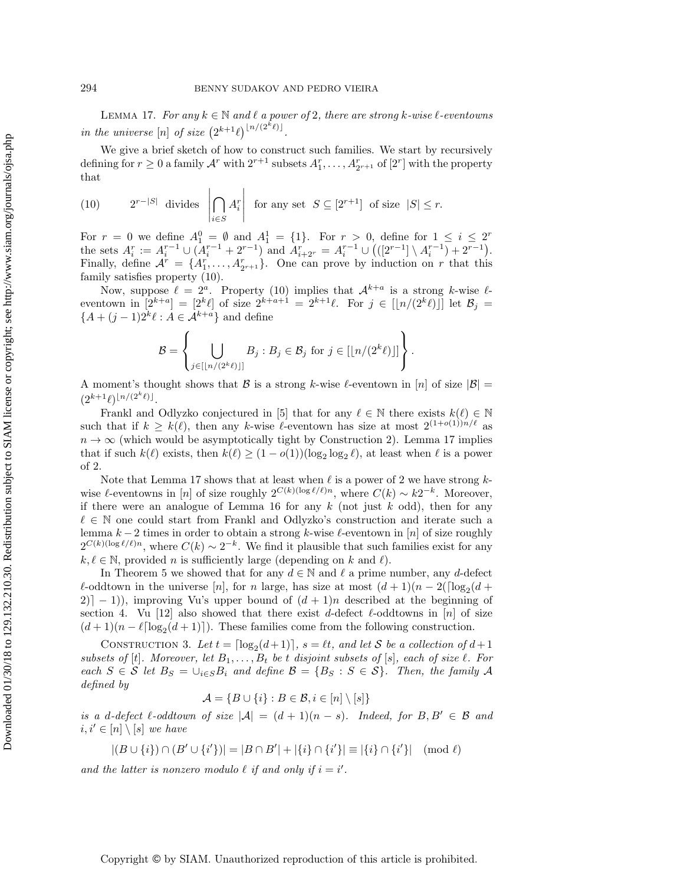LEMMA 17. For any  $k \in \mathbb{N}$  and  $\ell$  a power of 2, there are strong k-wise  $\ell$ -eventowns in the universe  $[n]$  of size  $(2^{k+1}\ell)^{\lfloor n/(2^k\ell)\rfloor}$ .

We give a brief sketch of how to construct such families. We start by recursively defining for  $r \geq 0$  a family  $\mathcal{A}^r$  with  $2^{r+1}$  subsets  $A_1^r, \ldots, A_{2r+1}^r$  of  $[2^r]$  with the property that

<span id="page-14-0"></span>(10) 
$$
2^{r-|S|}
$$
 divides  $\left| \bigcap_{i \in S} A_i^r \right|$  for any set  $S \subseteq [2^{r+1}]$  of size  $|S| \le r$ .

For  $r = 0$  we define  $A_1^0 = \emptyset$  and  $A_1^1 = \{1\}$ . For  $r > 0$ , define for  $1 \leq i \leq 2^r$ the sets  $A_i^r := A_i^{r-1} \cup (A_i^{r-1} + 2^{r-1})$  and  $A_{i+2r}^r = A_i^{r-1} \cup (([2^{r-1}] \setminus A_i^{r-1}) + 2^{r-1})$ . Finally, define  $\mathcal{A}^r = \{A_1^r, \ldots, A_{2r+1}^r\}$ . One can prove by induction on r that this family satisfies property [\(10\)](#page-14-0).

Now, suppose  $\ell = 2^a$ . Property [\(10\)](#page-14-0) implies that  $\mathcal{A}^{k+a}$  is a strong k-wise  $\ell$ eventown in  $[2^{k+a}] = [2^k \ell]$  of size  $2^{k+a+1} = 2^{k+1} \ell$ . For  $j \in [[n/(2^k \ell)]]$  let  $\mathcal{B}_j =$  ${A + (j-1)2^k \ell : A \in \mathcal{A}^{k+a}}$  and define

$$
\mathcal{B} = \left\{ \bigcup_{j \in [\lfloor n/(2^k\ell) \rfloor]} B_j : B_j \in \mathcal{B}_j \text{ for } j \in [\lfloor n/(2^k\ell) \rfloor] \right\}.
$$

A moment's thought shows that B is a strong k-wise l-eventown in [n] of size  $|\mathcal{B}| =$  $(2^{k+1}\ell)^{\lfloor n/(2^k\ell)\rfloor}.$ 

Frankl and Odlyzko conjectured in [\[5\]](#page-15-3) that for any  $\ell \in \mathbb{N}$  there exists  $k(\ell) \in \mathbb{N}$ such that if  $k \geq k(\ell)$ , then any k-wise  $\ell$ -eventown has size at most  $2^{(1+o(1))n/\ell}$  as  $n \to \infty$  (which would be asymptotically tight by Construction [2\)](#page-13-1). Lemma [17](#page-13-2) implies that if such  $k(\ell)$  exists, then  $k(\ell) \ge (1 - o(1))(\log_2 \log_2 \ell)$ , at least when  $\ell$  is a power of 2.

Note that Lemma [17](#page-13-2) shows that at least when  $\ell$  is a power of 2 we have strong  $k$ wise  $\ell$ -eventowns in [n] of size roughly  $2^{C(k)(\log \ell/\ell)n}$ , where  $C(k) \sim k2^{-k}$ . Moreover, if there were an analogue of Lemma [16](#page-13-3) for any  $k$  (not just  $k$  odd), then for any  $\ell \in \mathbb{N}$  one could start from Frankl and Odlyzko's construction and iterate such a lemma  $k - 2$  times in order to obtain a strong k-wise  $\ell$ -eventown in [n] of size roughly  $2^{C(k)(\log \ell/\ell)n}$ , where  $C(k) \sim 2^{-k}$ . We find it plausible that such families exist for any  $k, \ell \in \mathbb{N}$ , provided n is sufficiently large (depending on k and  $\ell$ ).

In Theorem [5](#page-3-1) we showed that for any  $d \in \mathbb{N}$  and  $\ell$  a prime number, any d-defect  $\ell$ -oddtown in the universe [n], for n large, has size at most  $(d + 1)(n - 2(\lceil \log_2(d +$ 2)<sup> $-1$ </sup>), improving Vu's upper bound of  $(d + 1)n$  described at the beginning of section [4.](#page-9-0) Vu [\[12\]](#page-15-5) also showed that there exist d-defect  $\ell$ -oddtowns in [n] of size  $(d+1)(n-\ell \lceil \log_2(d+1) \rceil)$ . These families come from the following construction.

CONSTRUCTION 3. Let  $t = \lceil \log_2(d+1) \rceil$ ,  $s = \ell t$ , and let S be a collection of  $d+1$ subsets of [t]. Moreover, let  $B_1, \ldots, B_t$  be t disjoint subsets of [s], each of size  $\ell$ . For each  $S \in \mathcal{S}$  let  $B_S = \bigcup_{i \in S} B_i$  and define  $\mathcal{B} = \{B_S : S \in \mathcal{S}\}\$ . Then, the family A defined by

<span id="page-14-1"></span>
$$
\mathcal{A} = \{ B \cup \{i\} : B \in \mathcal{B}, i \in [n] \setminus [s] \}
$$

is a d-defect  $\ell$ -oddtown of size  $|\mathcal{A}| = (d+1)(n-s)$ . Indeed, for  $B, B' \in \mathcal{B}$  and  $i, i' \in [n] \setminus [s]$  we have

$$
|(B \cup \{i\}) \cap (B' \cup \{i'\})| = |B \cap B'| + |\{i\} \cap \{i'\}| \equiv |\{i\} \cap \{i'\}| \pmod{\ell}
$$

and the latter is nonzero modulo  $\ell$  if and only if  $i = i'$ .